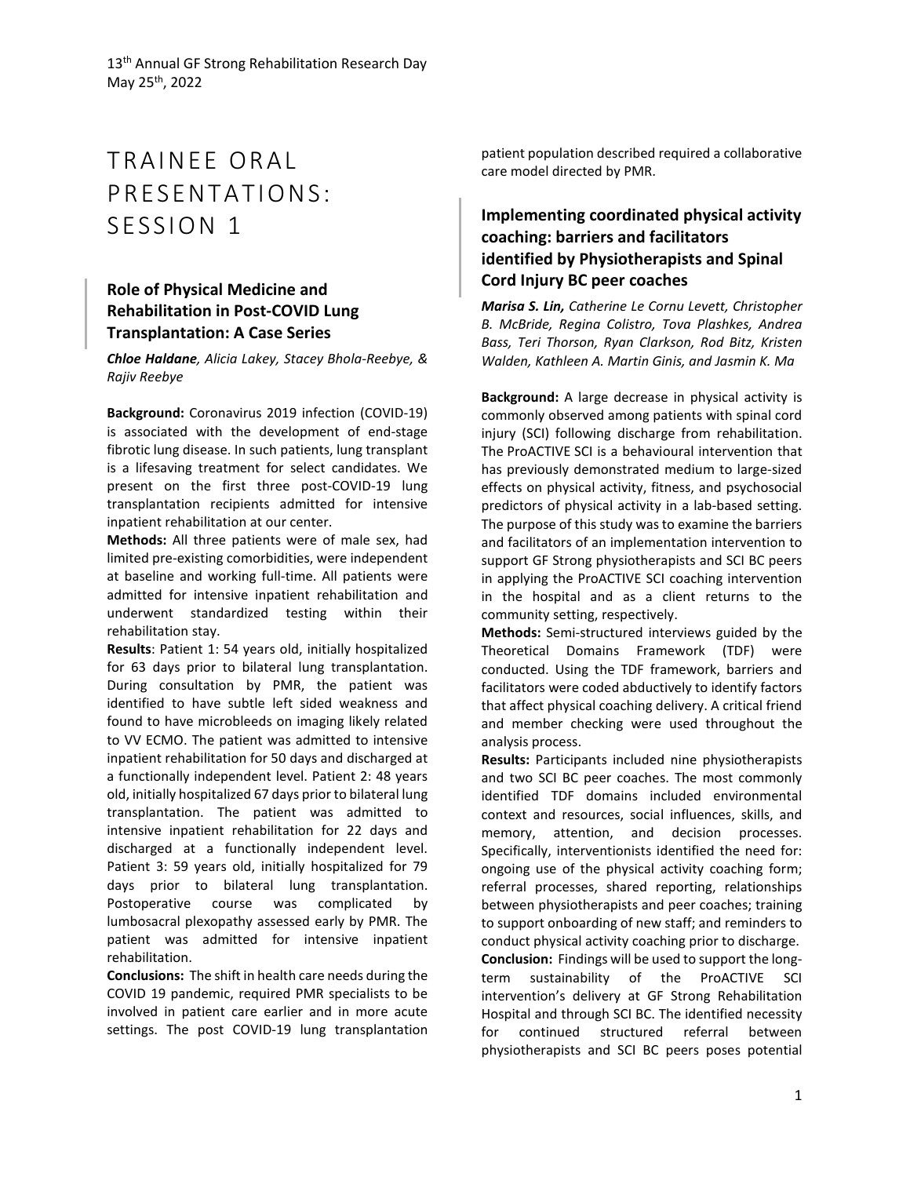# TRAINEE ORAL PRESENTATIONS: SESSION 1

# **Role of Physical Medicine and Rehabilitation in Post-COVID Lung Transplantation: A Case Series**

*Chloe Haldane, Alicia Lakey, Stacey Bhola-Reebye, & Rajiv Reebye*

**Background:** Coronavirus 2019 infection (COVID-19) is associated with the development of end-stage fibrotic lung disease. In such patients, lung transplant is a lifesaving treatment for select candidates. We present on the first three post-COVID-19 lung transplantation recipients admitted for intensive inpatient rehabilitation at our center.

**Methods:** All three patients were of male sex, had limited pre-existing comorbidities, were independent at baseline and working full-time. All patients were admitted for intensive inpatient rehabilitation and underwent standardized testing within their rehabilitation stay.

**Results**: Patient 1: 54 years old, initially hospitalized for 63 days prior to bilateral lung transplantation. During consultation by PMR, the patient was identified to have subtle left sided weakness and found to have microbleeds on imaging likely related to VV ECMO. The patient was admitted to intensive inpatient rehabilitation for 50 days and discharged at a functionally independent level. Patient 2: 48 years old, initially hospitalized 67 days prior to bilateral lung transplantation. The patient was admitted to intensive inpatient rehabilitation for 22 days and discharged at a functionally independent level. Patient 3: 59 years old, initially hospitalized for 79 days prior to bilateral lung transplantation. Postoperative course was complicated by lumbosacral plexopathy assessed early by PMR. The patient was admitted for intensive inpatient rehabilitation.

**Conclusions:** The shift in health care needs during the COVID 19 pandemic, required PMR specialists to be involved in patient care earlier and in more acute settings. The post COVID-19 lung transplantation

patient population described required a collaborative care model directed by PMR.

# **Implementing coordinated physical activity coaching: barriers and facilitators identified by Physiotherapists and Spinal Cord Injury BC peer coaches**

*Marisa S. Lin, Catherine Le Cornu Levett, Christopher B. McBride, Regina Colistro, Tova Plashkes, Andrea Bass, Teri Thorson, Ryan Clarkson, Rod Bitz, Kristen Walden, Kathleen A. Martin Ginis, and Jasmin K. Ma*

**Background:** A large decrease in physical activity is commonly observed among patients with spinal cord injury (SCI) following discharge from rehabilitation. The ProACTIVE SCI is a behavioural intervention that has previously demonstrated medium to large-sized effects on physical activity, fitness, and psychosocial predictors of physical activity in a lab-based setting. The purpose of this study was to examine the barriers and facilitators of an implementation intervention to support GF Strong physiotherapists and SCI BC peers in applying the ProACTIVE SCI coaching intervention in the hospital and as a client returns to the community setting, respectively.

**Methods:** Semi-structured interviews guided by the Theoretical Domains Framework (TDF) were conducted. Using the TDF framework, barriers and facilitators were coded abductively to identify factors that affect physical coaching delivery. A critical friend and member checking were used throughout the analysis process.

**Results:** Participants included nine physiotherapists and two SCI BC peer coaches. The most commonly identified TDF domains included environmental context and resources, social influences, skills, and memory, attention, and decision processes. Specifically, interventionists identified the need for: ongoing use of the physical activity coaching form; referral processes, shared reporting, relationships between physiotherapists and peer coaches; training to support onboarding of new staff; and reminders to conduct physical activity coaching prior to discharge. **Conclusion:** Findings will be used to support the longterm sustainability of the ProACTIVE SCI intervention's delivery at GF Strong Rehabilitation Hospital and through SCI BC. The identified necessity for continued structured referral between physiotherapists and SCI BC peers poses potential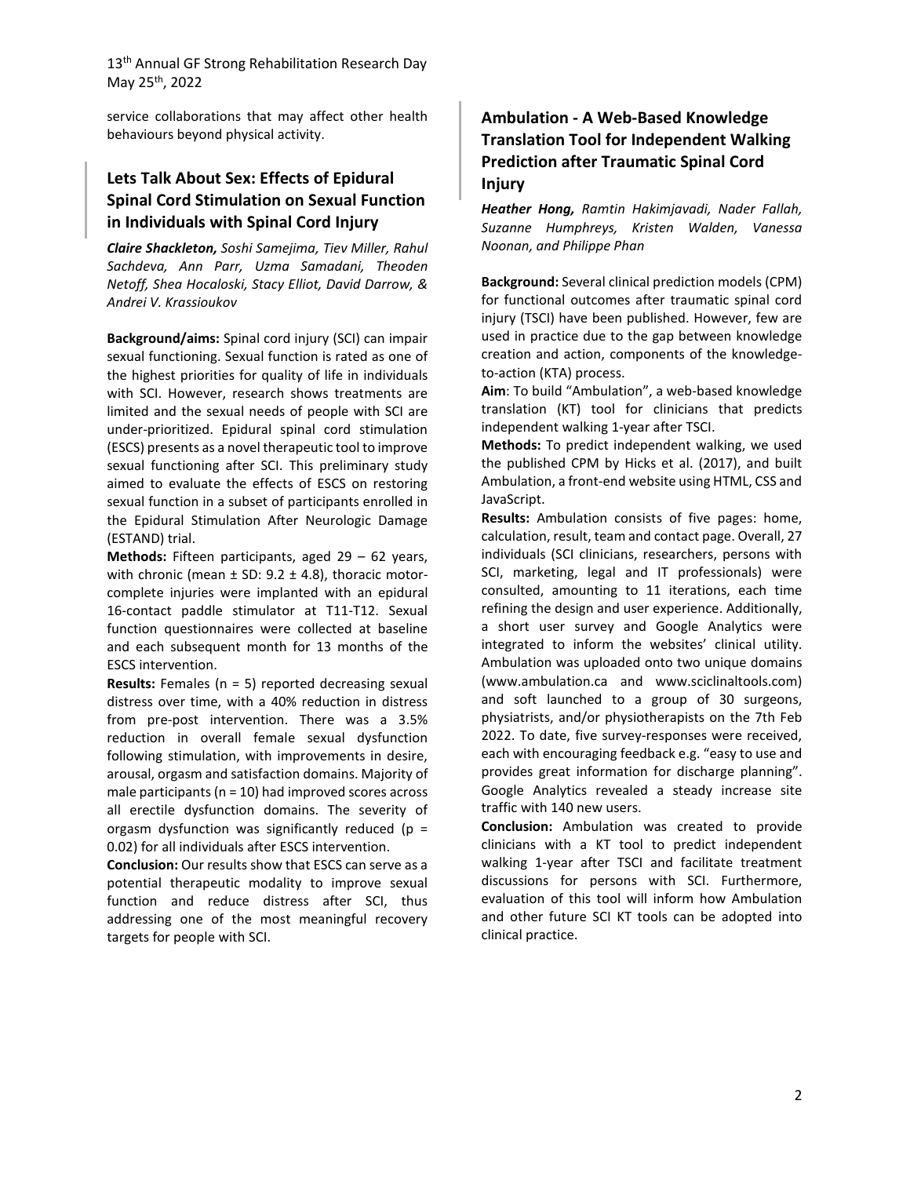service collaborations that may affect other health behaviours beyond physical activity.

## **Lets Talk About Sex: Effects of Epidural Spinal Cord Stimulation on Sexual Function in Individuals with Spinal Cord Injury**

*Claire Shackleton, Soshi Samejima, Tiev Miller, Rahul Sachdeva, Ann Parr, Uzma Samadani, Theoden Netoff, Shea Hocaloski, Stacy Elliot, David Darrow, & Andrei V. Krassioukov*

**Background/aims:** Spinal cord injury (SCI) can impair sexual functioning. Sexual function is rated as one of the highest priorities for quality of life in individuals with SCI. However, research shows treatments are limited and the sexual needs of people with SCI are under-prioritized. Epidural spinal cord stimulation (ESCS) presents as a novel therapeutic tool to improve sexual functioning after SCI. This preliminary study aimed to evaluate the effects of ESCS on restoring sexual function in a subset of participants enrolled in the Epidural Stimulation After Neurologic Damage (ESTAND) trial.

**Methods:** Fifteen participants, aged 29 – 62 years, with chronic (mean  $\pm$  SD: 9.2  $\pm$  4.8), thoracic motorcomplete injuries were implanted with an epidural 16-contact paddle stimulator at T11-T12. Sexual function questionnaires were collected at baseline and each subsequent month for 13 months of the ESCS intervention.

**Results:** Females (n = 5) reported decreasing sexual distress over time, with a 40% reduction in distress from pre-post intervention. There was a 3.5% reduction in overall female sexual dysfunction following stimulation, with improvements in desire, arousal, orgasm and satisfaction domains. Majority of male participants (n = 10) had improved scores across all erectile dysfunction domains. The severity of orgasm dysfunction was significantly reduced ( $p =$ 0.02) for all individuals after ESCS intervention.

**Conclusion:** Our results show that ESCS can serve as a potential therapeutic modality to improve sexual function and reduce distress after SCI, thus addressing one of the most meaningful recovery targets for people with SCI.

# **Ambulation - A Web-Based Knowledge Translation Tool for Independent Walking Prediction after Traumatic Spinal Cord Injury**

*Heather Hong, Ramtin Hakimjavadi, Nader Fallah, Suzanne Humphreys, Kristen Walden, Vanessa Noonan, and Philippe Phan*

**Background:** Several clinical prediction models (CPM) for functional outcomes after traumatic spinal cord injury (TSCI) have been published. However, few are used in practice due to the gap between knowledge creation and action, components of the knowledgeto-action (KTA) process.

**Aim**: To build "Ambulation", a web-based knowledge translation (KT) tool for clinicians that predicts independent walking 1-year after TSCI.

**Methods:** To predict independent walking, we used the published CPM by Hicks et al. (2017), and built Ambulation, a front-end website using HTML, CSS and JavaScript.

**Results:** Ambulation consists of five pages: home, calculation, result, team and contact page. Overall, 27 individuals (SCI clinicians, researchers, persons with SCI, marketing, legal and IT professionals) were consulted, amounting to 11 iterations, each time refining the design and user experience. Additionally, a short user survey and Google Analytics were integrated to inform the websites' clinical utility. Ambulation was uploaded onto two unique domains (www.ambulation.ca and www.sciclinaltools.com) and soft launched to a group of 30 surgeons, physiatrists, and/or physiotherapists on the 7th Feb 2022. To date, five survey-responses were received, each with encouraging feedback e.g. "easy to use and provides great information for discharge planning". Google Analytics revealed a steady increase site traffic with 140 new users.

**Conclusion:** Ambulation was created to provide clinicians with a KT tool to predict independent walking 1-year after TSCI and facilitate treatment discussions for persons with SCI. Furthermore, evaluation of this tool will inform how Ambulation and other future SCI KT tools can be adopted into clinical practice.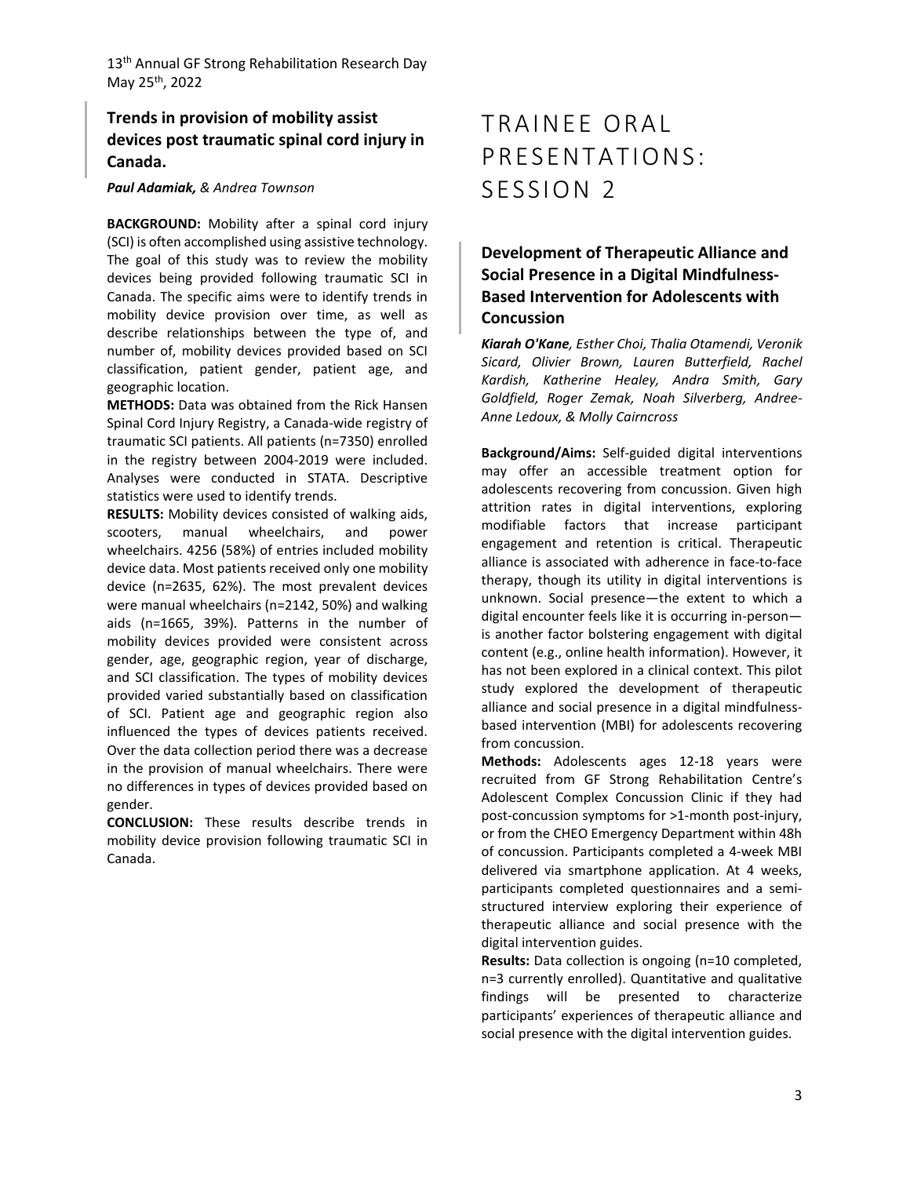# **Trends in provision of mobility assist devices post traumatic spinal cord injury in Canada.**

#### *Paul Adamiak, & Andrea Townson*

**BACKGROUND:** Mobility after a spinal cord injury (SCI) is often accomplished using assistive technology. The goal of this study was to review the mobility devices being provided following traumatic SCI in Canada. The specific aims were to identify trends in mobility device provision over time, as well as describe relationships between the type of, and number of, mobility devices provided based on SCI classification, patient gender, patient age, and geographic location.

**METHODS:** Data was obtained from the Rick Hansen Spinal Cord Injury Registry, a Canada-wide registry of traumatic SCI patients. All patients (n=7350) enrolled in the registry between 2004-2019 were included. Analyses were conducted in STATA. Descriptive statistics were used to identify trends.

**RESULTS:** Mobility devices consisted of walking aids, scooters, manual wheelchairs, and power wheelchairs. 4256 (58%) of entries included mobility device data. Most patients received only one mobility device (n=2635, 62%). The most prevalent devices were manual wheelchairs (n=2142, 50%) and walking aids (n=1665, 39%). Patterns in the number of mobility devices provided were consistent across gender, age, geographic region, year of discharge, and SCI classification. The types of mobility devices provided varied substantially based on classification of SCI. Patient age and geographic region also influenced the types of devices patients received. Over the data collection period there was a decrease in the provision of manual wheelchairs. There were no differences in types of devices provided based on gender.

**CONCLUSION:** These results describe trends in mobility device provision following traumatic SCI in Canada.

# TRAINEE ORAL PRESENTATIONS: SESSION 2

**Development of Therapeutic Alliance and Social Presence in a Digital Mindfulness-Based Intervention for Adolescents with Concussion**

*Kiarah O'Kane, Esther Choi, Thalia Otamendi, Veronik Sicard, Olivier Brown, Lauren Butterfield, Rachel Kardish, Katherine Healey, Andra Smith, Gary Goldfield, Roger Zemak, Noah Silverberg, Andree-Anne Ledoux, & Molly Cairncross*

**Background/Aims:** Self-guided digital interventions may offer an accessible treatment option for adolescents recovering from concussion. Given high attrition rates in digital interventions, exploring modifiable factors that increase participant engagement and retention is critical. Therapeutic alliance is associated with adherence in face-to-face therapy, though its utility in digital interventions is unknown. Social presence—the extent to which a digital encounter feels like it is occurring in-person is another factor bolstering engagement with digital content (e.g., online health information). However, it has not been explored in a clinical context. This pilot study explored the development of therapeutic alliance and social presence in a digital mindfulnessbased intervention (MBI) for adolescents recovering from concussion.

**Methods:** Adolescents ages 12-18 years were recruited from GF Strong Rehabilitation Centre's Adolescent Complex Concussion Clinic if they had post-concussion symptoms for >1-month post-injury, or from the CHEO Emergency Department within 48h of concussion. Participants completed a 4-week MBI delivered via smartphone application. At 4 weeks, participants completed questionnaires and a semistructured interview exploring their experience of therapeutic alliance and social presence with the digital intervention guides.

**Results:** Data collection is ongoing (n=10 completed, n=3 currently enrolled). Quantitative and qualitative findings will be presented to characterize participants' experiences of therapeutic alliance and social presence with the digital intervention guides.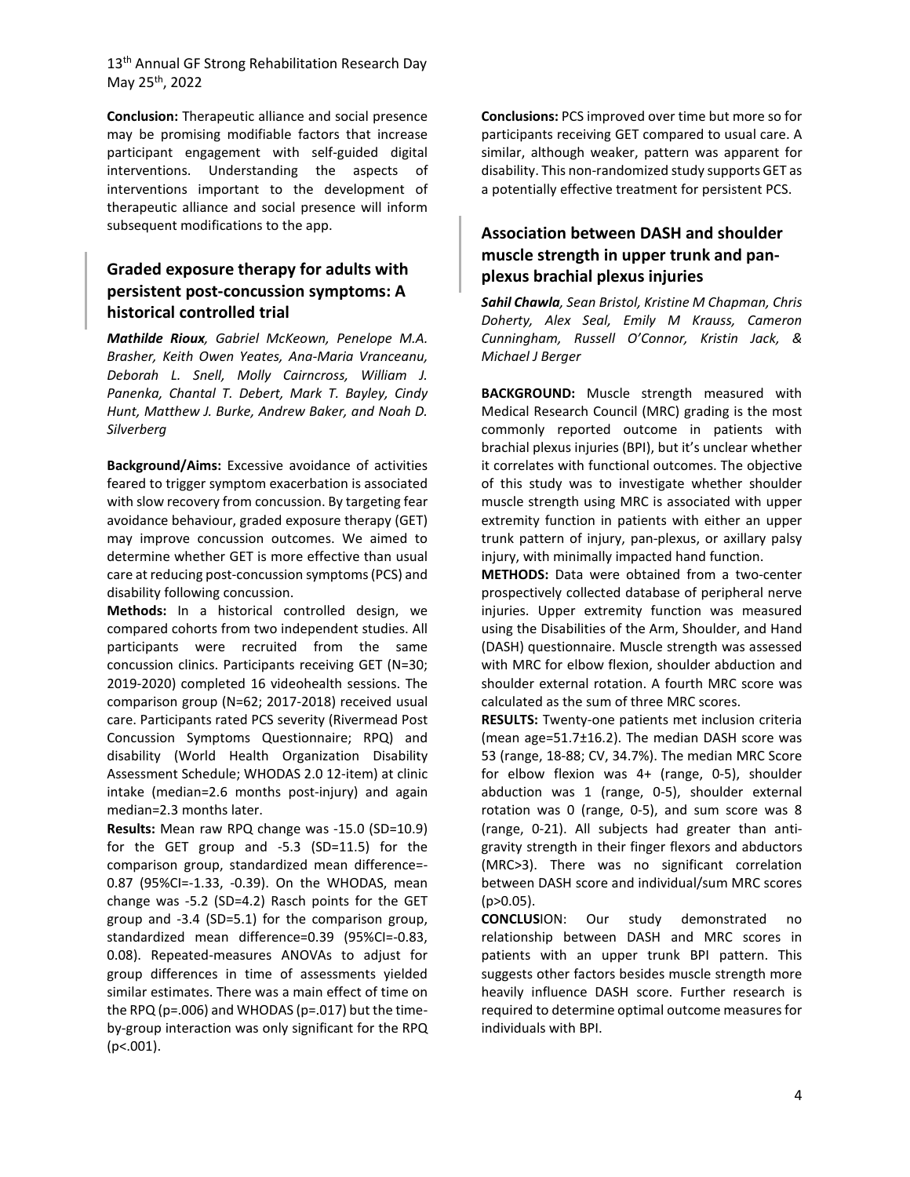**Conclusion:** Therapeutic alliance and social presence may be promising modifiable factors that increase participant engagement with self-guided digital interventions. Understanding the aspects of interventions important to the development of therapeutic alliance and social presence will inform subsequent modifications to the app.

# **Graded exposure therapy for adults with persistent post-concussion symptoms: A historical controlled trial**

*Mathilde Rioux, Gabriel McKeown, Penelope M.A. Brasher, Keith Owen Yeates, Ana-Maria Vranceanu, Deborah L. Snell, Molly Cairncross, William J. Panenka, Chantal T. Debert, Mark T. Bayley, Cindy Hunt, Matthew J. Burke, Andrew Baker, and Noah D. Silverberg* 

**Background/Aims:** Excessive avoidance of activities feared to trigger symptom exacerbation is associated with slow recovery from concussion. By targeting fear avoidance behaviour, graded exposure therapy (GET) may improve concussion outcomes. We aimed to determine whether GET is more effective than usual care at reducing post-concussion symptoms (PCS) and disability following concussion.

**Methods:** In a historical controlled design, we compared cohorts from two independent studies. All participants were recruited from the same concussion clinics. Participants receiving GET (N=30; 2019-2020) completed 16 videohealth sessions. The comparison group (N=62; 2017-2018) received usual care. Participants rated PCS severity (Rivermead Post Concussion Symptoms Questionnaire; RPQ) and disability (World Health Organization Disability Assessment Schedule; WHODAS 2.0 12-item) at clinic intake (median=2.6 months post-injury) and again median=2.3 months later.

**Results:** Mean raw RPQ change was -15.0 (SD=10.9) for the GET group and -5.3 (SD=11.5) for the comparison group, standardized mean difference=- 0.87 (95%CI=-1.33, -0.39). On the WHODAS, mean change was -5.2 (SD=4.2) Rasch points for the GET group and -3.4 (SD=5.1) for the comparison group, standardized mean difference=0.39 (95%CI=-0.83, 0.08). Repeated-measures ANOVAs to adjust for group differences in time of assessments yielded similar estimates. There was a main effect of time on the RPQ (p=.006) and WHODAS (p=.017) but the timeby-group interaction was only significant for the RPQ (p<.001).

**Conclusions:** PCS improved over time but more so for participants receiving GET compared to usual care. A similar, although weaker, pattern was apparent for disability. This non-randomized study supports GET as a potentially effective treatment for persistent PCS.

## **Association between DASH and shoulder muscle strength in upper trunk and panplexus brachial plexus injuries**

*Sahil Chawla, Sean Bristol, Kristine M Chapman, Chris Doherty, Alex Seal, Emily M Krauss, Cameron Cunningham, Russell O'Connor, Kristin Jack, & Michael J Berger* 

**BACKGROUND:** Muscle strength measured with Medical Research Council (MRC) grading is the most commonly reported outcome in patients with brachial plexus injuries (BPI), but it's unclear whether it correlates with functional outcomes. The objective of this study was to investigate whether shoulder muscle strength using MRC is associated with upper extremity function in patients with either an upper trunk pattern of injury, pan-plexus, or axillary palsy injury, with minimally impacted hand function.

**METHODS:** Data were obtained from a two-center prospectively collected database of peripheral nerve injuries. Upper extremity function was measured using the Disabilities of the Arm, Shoulder, and Hand (DASH) questionnaire. Muscle strength was assessed with MRC for elbow flexion, shoulder abduction and shoulder external rotation. A fourth MRC score was calculated as the sum of three MRC scores.

**RESULTS:** Twenty-one patients met inclusion criteria (mean age=51.7±16.2). The median DASH score was 53 (range, 18-88; CV, 34.7%). The median MRC Score for elbow flexion was 4+ (range, 0-5), shoulder abduction was 1 (range, 0-5), shoulder external rotation was 0 (range, 0-5), and sum score was 8 (range, 0-21). All subjects had greater than antigravity strength in their finger flexors and abductors (MRC>3). There was no significant correlation between DASH score and individual/sum MRC scores  $(p>0.05)$ .

**CONCLUS**ION: Our study demonstrated no relationship between DASH and MRC scores in patients with an upper trunk BPI pattern. This suggests other factors besides muscle strength more heavily influence DASH score. Further research is required to determine optimal outcome measures for individuals with BPI.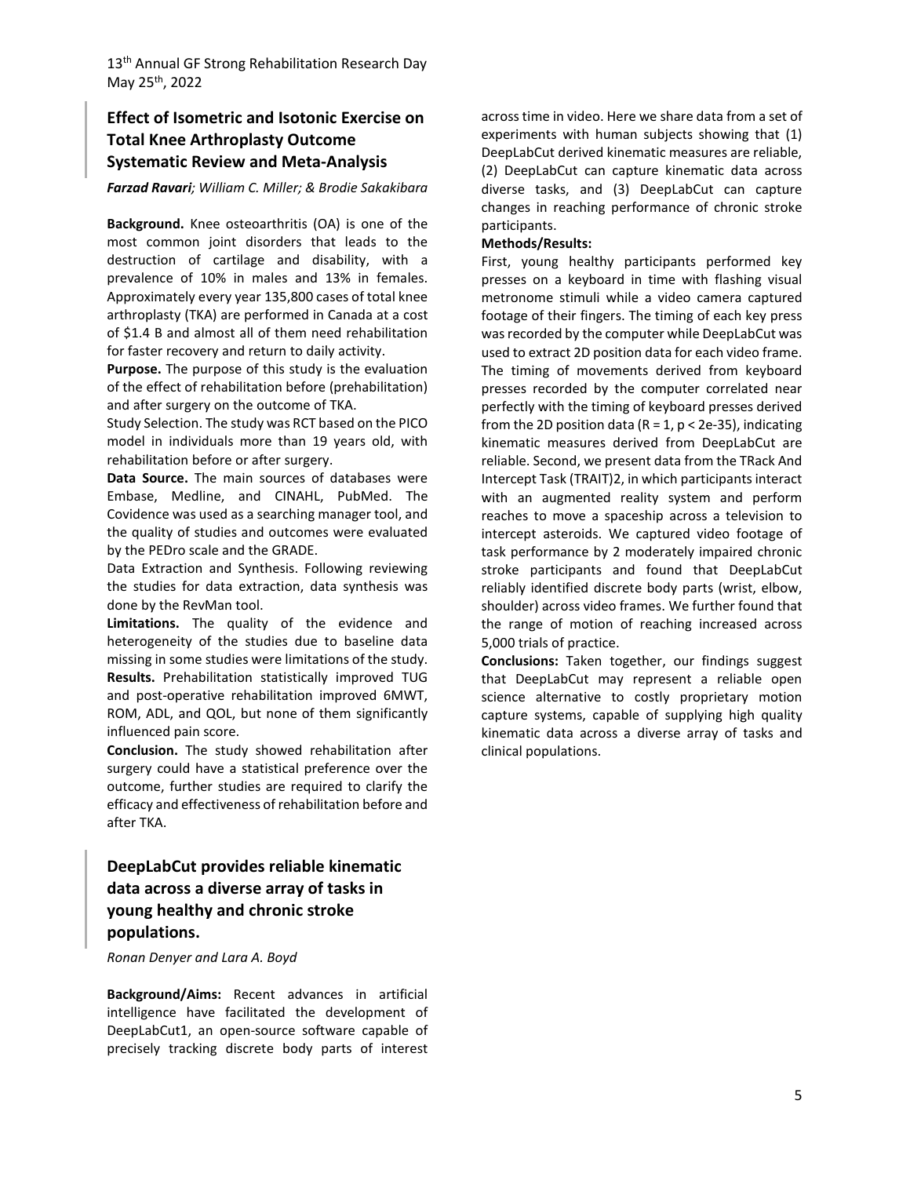## **Effect of Isometric and Isotonic Exercise on Total Knee Arthroplasty Outcome Systematic Review and Meta-Analysis**

#### *Farzad Ravari; William C. Miller; & Brodie Sakakibara*

**Background.** Knee osteoarthritis (OA) is one of the most common joint disorders that leads to the destruction of cartilage and disability, with a prevalence of 10% in males and 13% in females. Approximately every year 135,800 cases of total knee arthroplasty (TKA) are performed in Canada at a cost of \$1.4 B and almost all of them need rehabilitation for faster recovery and return to daily activity.

**Purpose.** The purpose of this study is the evaluation of the effect of rehabilitation before (prehabilitation) and after surgery on the outcome of TKA.

Study Selection. The study was RCT based on the PICO model in individuals more than 19 years old, with rehabilitation before or after surgery.

**Data Source.** The main sources of databases were Embase, Medline, and CINAHL, PubMed. The Covidence was used as a searching manager tool, and the quality of studies and outcomes were evaluated by the PEDro scale and the GRADE.

Data Extraction and Synthesis. Following reviewing the studies for data extraction, data synthesis was done by the RevMan tool.

**Limitations.** The quality of the evidence and heterogeneity of the studies due to baseline data missing in some studies were limitations of the study. **Results.** Prehabilitation statistically improved TUG and post-operative rehabilitation improved 6MWT, ROM, ADL, and QOL, but none of them significantly influenced pain score.

**Conclusion.** The study showed rehabilitation after surgery could have a statistical preference over the outcome, further studies are required to clarify the efficacy and effectiveness of rehabilitation before and after TKA.

# **DeepLabCut provides reliable kinematic data across a diverse array of tasks in young healthy and chronic stroke populations.**

#### *Ronan Denyer and Lara A. Boyd*

**Background/Aims:** Recent advances in artificial intelligence have facilitated the development of DeepLabCut1, an open-source software capable of precisely tracking discrete body parts of interest across time in video. Here we share data from a set of experiments with human subjects showing that (1) DeepLabCut derived kinematic measures are reliable, (2) DeepLabCut can capture kinematic data across diverse tasks, and (3) DeepLabCut can capture changes in reaching performance of chronic stroke participants.

#### **Methods/Results:**

First, young healthy participants performed key presses on a keyboard in time with flashing visual metronome stimuli while a video camera captured footage of their fingers. The timing of each key press was recorded by the computer while DeepLabCut was used to extract 2D position data for each video frame. The timing of movements derived from keyboard presses recorded by the computer correlated near perfectly with the timing of keyboard presses derived from the 2D position data ( $R = 1$ ,  $p < 2e-35$ ), indicating kinematic measures derived from DeepLabCut are reliable. Second, we present data from the TRack And Intercept Task (TRAIT)2, in which participants interact with an augmented reality system and perform reaches to move a spaceship across a television to intercept asteroids. We captured video footage of task performance by 2 moderately impaired chronic stroke participants and found that DeepLabCut reliably identified discrete body parts (wrist, elbow, shoulder) across video frames. We further found that the range of motion of reaching increased across 5,000 trials of practice.

**Conclusions:** Taken together, our findings suggest that DeepLabCut may represent a reliable open science alternative to costly proprietary motion capture systems, capable of supplying high quality kinematic data across a diverse array of tasks and clinical populations.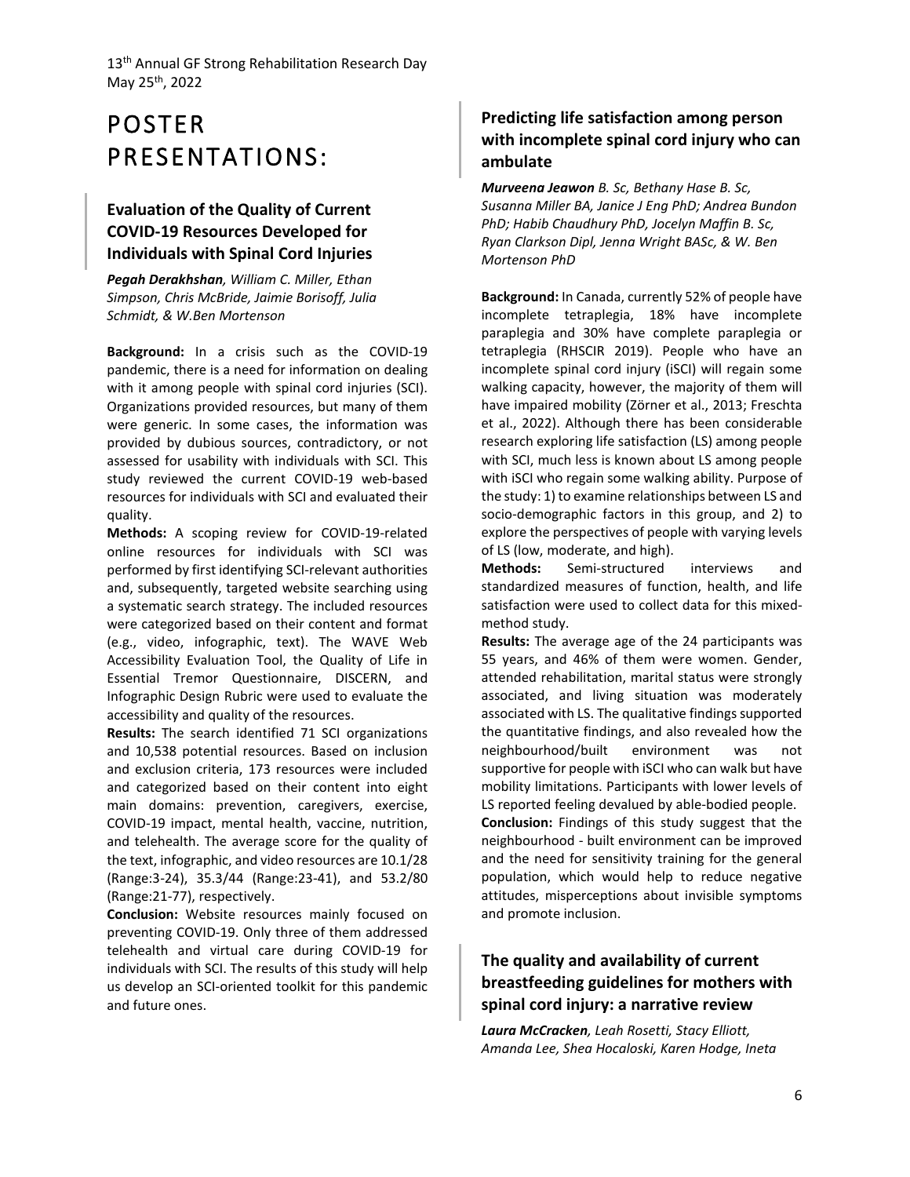# POSTER PRESENTATIONS:

# **Evaluation of the Quality of Current COVID-19 Resources Developed for Individuals with Spinal Cord Injuries**

*Pegah Derakhshan, William C. Miller, Ethan Simpson, Chris McBride, Jaimie Borisoff, Julia Schmidt, & W.Ben Mortenson*

**Background:** In a crisis such as the COVID-19 pandemic, there is a need for information on dealing with it among people with spinal cord injuries (SCI). Organizations provided resources, but many of them were generic. In some cases, the information was provided by dubious sources, contradictory, or not assessed for usability with individuals with SCI. This study reviewed the current COVID-19 web-based resources for individuals with SCI and evaluated their quality.

**Methods:** A scoping review for COVID-19-related online resources for individuals with SCI was performed by first identifying SCI-relevant authorities and, subsequently, targeted website searching using a systematic search strategy. The included resources were categorized based on their content and format (e.g., video, infographic, text). The WAVE Web Accessibility Evaluation Tool, the Quality of Life in Essential Tremor Questionnaire, DISCERN, and Infographic Design Rubric were used to evaluate the accessibility and quality of the resources.

**Results:** The search identified 71 SCI organizations and 10,538 potential resources. Based on inclusion and exclusion criteria, 173 resources were included and categorized based on their content into eight main domains: prevention, caregivers, exercise, COVID-19 impact, mental health, vaccine, nutrition, and telehealth. The average score for the quality of the text, infographic, and video resources are 10.1/28 (Range:3-24), 35.3/44 (Range:23-41), and 53.2/80 (Range:21-77), respectively.

**Conclusion:** Website resources mainly focused on preventing COVID-19. Only three of them addressed telehealth and virtual care during COVID-19 for individuals with SCI. The results of this study will help us develop an SCI-oriented toolkit for this pandemic and future ones.

# **Predicting life satisfaction among person with incomplete spinal cord injury who can ambulate**

*Murveena Jeawon B. Sc, Bethany Hase B. Sc, Susanna Miller BA, Janice J Eng PhD; Andrea Bundon PhD; Habib Chaudhury PhD, Jocelyn Maffin B. Sc, Ryan Clarkson Dipl, Jenna Wright BASc, & W. Ben Mortenson PhD*

**Background:** In Canada, currently 52% of people have incomplete tetraplegia, 18% have incomplete paraplegia and 30% have complete paraplegia or tetraplegia (RHSCIR 2019). People who have an incomplete spinal cord injury (iSCI) will regain some walking capacity, however, the majority of them will have impaired mobility (Zörner et al., 2013; Freschta et al., 2022). Although there has been considerable research exploring life satisfaction (LS) among people with SCI, much less is known about LS among people with iSCI who regain some walking ability. Purpose of the study: 1) to examine relationships between LS and socio-demographic factors in this group, and 2) to explore the perspectives of people with varying levels of LS (low, moderate, and high).

**Methods:** Semi-structured interviews and standardized measures of function, health, and life satisfaction were used to collect data for this mixedmethod study.

**Results:** The average age of the 24 participants was 55 years, and 46% of them were women. Gender, attended rehabilitation, marital status were strongly associated, and living situation was moderately associated with LS. The qualitative findings supported the quantitative findings, and also revealed how the neighbourhood/built environment was not supportive for people with iSCI who can walk but have mobility limitations. Participants with lower levels of LS reported feeling devalued by able-bodied people. **Conclusion:** Findings of this study suggest that the neighbourhood - built environment can be improved and the need for sensitivity training for the general population, which would help to reduce negative attitudes, misperceptions about invisible symptoms and promote inclusion.

# **The quality and availability of current breastfeeding guidelines for mothers with spinal cord injury: a narrative review**

*Laura McCracken, Leah Rosetti, Stacy Elliott, Amanda Lee, Shea Hocaloski, Karen Hodge, Ineta*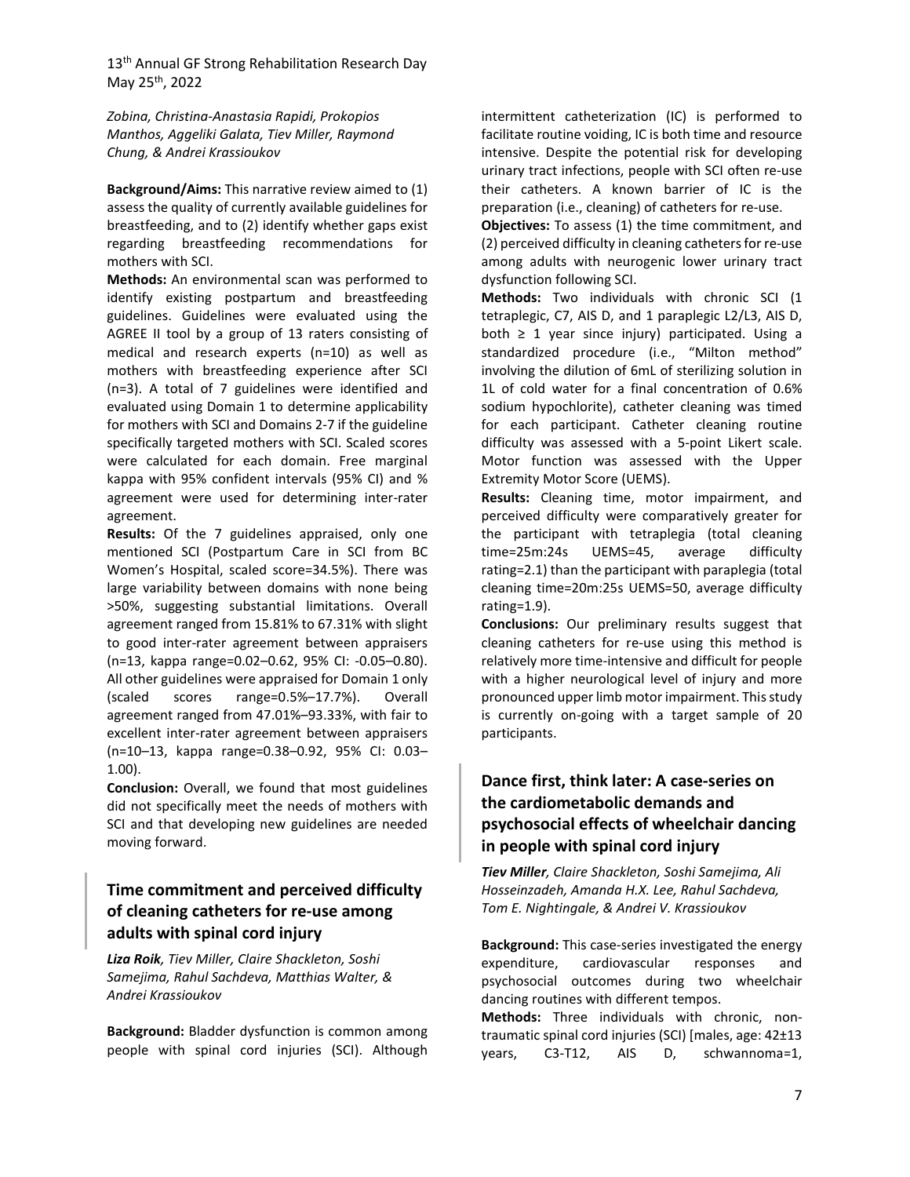*Zobina, Christina-Anastasia Rapidi, Prokopios Manthos, Aggeliki Galata, Tiev Miller, Raymond Chung, & Andrei Krassioukov*

**Background/Aims:** This narrative review aimed to (1) assess the quality of currently available guidelines for breastfeeding, and to (2) identify whether gaps exist regarding breastfeeding recommendations for mothers with SCI.

**Methods:** An environmental scan was performed to identify existing postpartum and breastfeeding guidelines. Guidelines were evaluated using the AGREE II tool by a group of 13 raters consisting of medical and research experts (n=10) as well as mothers with breastfeeding experience after SCI (n=3). A total of 7 guidelines were identified and evaluated using Domain 1 to determine applicability for mothers with SCI and Domains 2-7 if the guideline specifically targeted mothers with SCI. Scaled scores were calculated for each domain. Free marginal kappa with 95% confident intervals (95% CI) and % agreement were used for determining inter-rater agreement.

**Results:** Of the 7 guidelines appraised, only one mentioned SCI (Postpartum Care in SCI from BC Women's Hospital, scaled score=34.5%). There was large variability between domains with none being >50%, suggesting substantial limitations. Overall agreement ranged from 15.81% to 67.31% with slight to good inter-rater agreement between appraisers (n=13, kappa range=0.02–0.62, 95% CI: -0.05–0.80). All other guidelines were appraised for Domain 1 only (scaled scores range=0.5%–17.7%). Overall agreement ranged from 47.01%–93.33%, with fair to excellent inter-rater agreement between appraisers (n=10–13, kappa range=0.38–0.92, 95% CI: 0.03– 1.00).

**Conclusion:** Overall, we found that most guidelines did not specifically meet the needs of mothers with SCI and that developing new guidelines are needed moving forward.

# **Time commitment and perceived difficulty of cleaning catheters for re-use among adults with spinal cord injury**

*Liza Roik, Tiev Miller, Claire Shackleton, Soshi Samejima, Rahul Sachdeva, Matthias Walter, & Andrei Krassioukov*

**Background:** Bladder dysfunction is common among people with spinal cord injuries (SCI). Although intermittent catheterization (IC) is performed to facilitate routine voiding, IC is both time and resource intensive. Despite the potential risk for developing urinary tract infections, people with SCI often re-use their catheters. A known barrier of IC is the preparation (i.e., cleaning) of catheters for re-use.

**Objectives:** To assess (1) the time commitment, and (2) perceived difficulty in cleaning catheters for re-use among adults with neurogenic lower urinary tract dysfunction following SCI.

**Methods:** Two individuals with chronic SCI (1 tetraplegic, C7, AIS D, and 1 paraplegic L2/L3, AIS D, both  $\geq 1$  year since injury) participated. Using a standardized procedure (i.e., "Milton method" involving the dilution of 6mL of sterilizing solution in 1L of cold water for a final concentration of 0.6% sodium hypochlorite), catheter cleaning was timed for each participant. Catheter cleaning routine difficulty was assessed with a 5-point Likert scale. Motor function was assessed with the Upper Extremity Motor Score (UEMS).

**Results:** Cleaning time, motor impairment, and perceived difficulty were comparatively greater for the participant with tetraplegia (total cleaning time=25m:24s UEMS=45, average difficulty rating=2.1) than the participant with paraplegia (total cleaning time=20m:25s UEMS=50, average difficulty rating=1.9).

**Conclusions:** Our preliminary results suggest that cleaning catheters for re-use using this method is relatively more time-intensive and difficult for people with a higher neurological level of injury and more pronounced upper limb motor impairment. This study is currently on-going with a target sample of 20 participants.

# **Dance first, think later: A case-series on the cardiometabolic demands and psychosocial effects of wheelchair dancing in people with spinal cord injury**

*Tiev Miller, Claire Shackleton, Soshi Samejima, Ali Hosseinzadeh, Amanda H.X. Lee, Rahul Sachdeva, Tom E. Nightingale, & Andrei V. Krassioukov*

**Background:** This case-series investigated the energy expenditure, cardiovascular responses and psychosocial outcomes during two wheelchair dancing routines with different tempos.

**Methods:** Three individuals with chronic, nontraumatic spinal cord injuries (SCI) [males, age: 42±13 years, C3-T12, AIS D, schwannoma=1,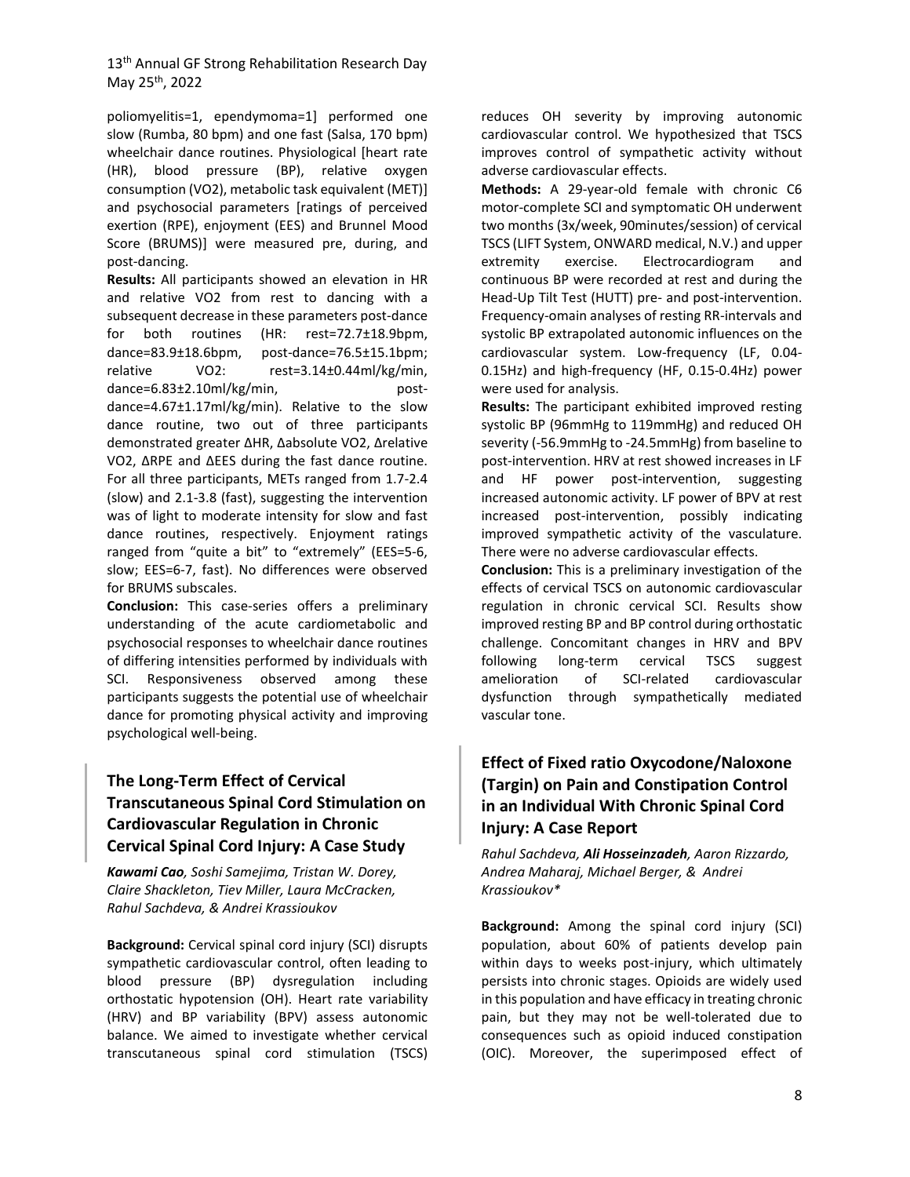poliomyelitis=1, ependymoma=1] performed one slow (Rumba, 80 bpm) and one fast (Salsa, 170 bpm) wheelchair dance routines. Physiological [heart rate (HR), blood pressure (BP), relative oxygen consumption (VO2), metabolic task equivalent (MET)] and psychosocial parameters [ratings of perceived exertion (RPE), enjoyment (EES) and Brunnel Mood Score (BRUMS)] were measured pre, during, and post-dancing.

**Results:** All participants showed an elevation in HR and relative VO2 from rest to dancing with a subsequent decrease in these parameters post-dance for both routines (HR: rest=72.7±18.9bpm, dance=83.9±18.6bpm, post-dance=76.5±15.1bpm; relative VO2: rest=3.14±0.44ml/kg/min, dance=6.83±2.10ml/kg/min, postdance=4.67±1.17ml/kg/min). Relative to the slow dance routine, two out of three participants demonstrated greater ΔHR, Δabsolute VO2, Δrelative VO2, ΔRPE and ΔEES during the fast dance routine. For all three participants, METs ranged from 1.7-2.4 (slow) and 2.1-3.8 (fast), suggesting the intervention was of light to moderate intensity for slow and fast dance routines, respectively. Enjoyment ratings ranged from "quite a bit" to "extremely" (EES=5-6, slow; EES=6-7, fast). No differences were observed for BRUMS subscales.

**Conclusion:** This case-series offers a preliminary understanding of the acute cardiometabolic and psychosocial responses to wheelchair dance routines of differing intensities performed by individuals with SCI. Responsiveness observed among these participants suggests the potential use of wheelchair dance for promoting physical activity and improving psychological well-being.

# **The Long-Term Effect of Cervical Transcutaneous Spinal Cord Stimulation on Cardiovascular Regulation in Chronic Cervical Spinal Cord Injury: A Case Study**

*Kawami Cao, Soshi Samejima, Tristan W. Dorey, Claire Shackleton, Tiev Miller, Laura McCracken, Rahul Sachdeva, & Andrei Krassioukov*

**Background:** Cervical spinal cord injury (SCI) disrupts sympathetic cardiovascular control, often leading to blood pressure (BP) dysregulation including orthostatic hypotension (OH). Heart rate variability (HRV) and BP variability (BPV) assess autonomic balance. We aimed to investigate whether cervical transcutaneous spinal cord stimulation (TSCS)

reduces OH severity by improving autonomic cardiovascular control. We hypothesized that TSCS improves control of sympathetic activity without adverse cardiovascular effects.

**Methods:** A 29-year-old female with chronic C6 motor-complete SCI and symptomatic OH underwent two months (3x/week, 90minutes/session) of cervical TSCS (LIFT System, ONWARD medical, N.V.) and upper extremity exercise. Electrocardiogram and continuous BP were recorded at rest and during the Head-Up Tilt Test (HUTT) pre- and post-intervention. Frequency-omain analyses of resting RR-intervals and systolic BP extrapolated autonomic influences on the cardiovascular system. Low-frequency (LF, 0.04- 0.15Hz) and high-frequency (HF, 0.15-0.4Hz) power were used for analysis.

**Results:** The participant exhibited improved resting systolic BP (96mmHg to 119mmHg) and reduced OH severity (-56.9mmHg to -24.5mmHg) from baseline to post-intervention. HRV at rest showed increases in LF and HF power post-intervention, suggesting increased autonomic activity. LF power of BPV at rest increased post-intervention, possibly indicating improved sympathetic activity of the vasculature. There were no adverse cardiovascular effects.

**Conclusion:** This is a preliminary investigation of the effects of cervical TSCS on autonomic cardiovascular regulation in chronic cervical SCI. Results show improved resting BP and BP control during orthostatic challenge. Concomitant changes in HRV and BPV following long-term cervical TSCS suggest amelioration of SCI-related cardiovascular dysfunction through sympathetically mediated vascular tone.

# **Effect of Fixed ratio Oxycodone/Naloxone (Targin) on Pain and Constipation Control in an Individual With Chronic Spinal Cord Injury: A Case Report**

*Rahul Sachdeva, Ali Hosseinzadeh, Aaron Rizzardo, Andrea Maharaj, Michael Berger, & Andrei Krassioukov\**

**Background:** Among the spinal cord injury (SCI) population, about 60% of patients develop pain within days to weeks post-injury, which ultimately persists into chronic stages. Opioids are widely used in this population and have efficacy in treating chronic pain, but they may not be well-tolerated due to consequences such as opioid induced constipation (OIC). Moreover, the superimposed effect of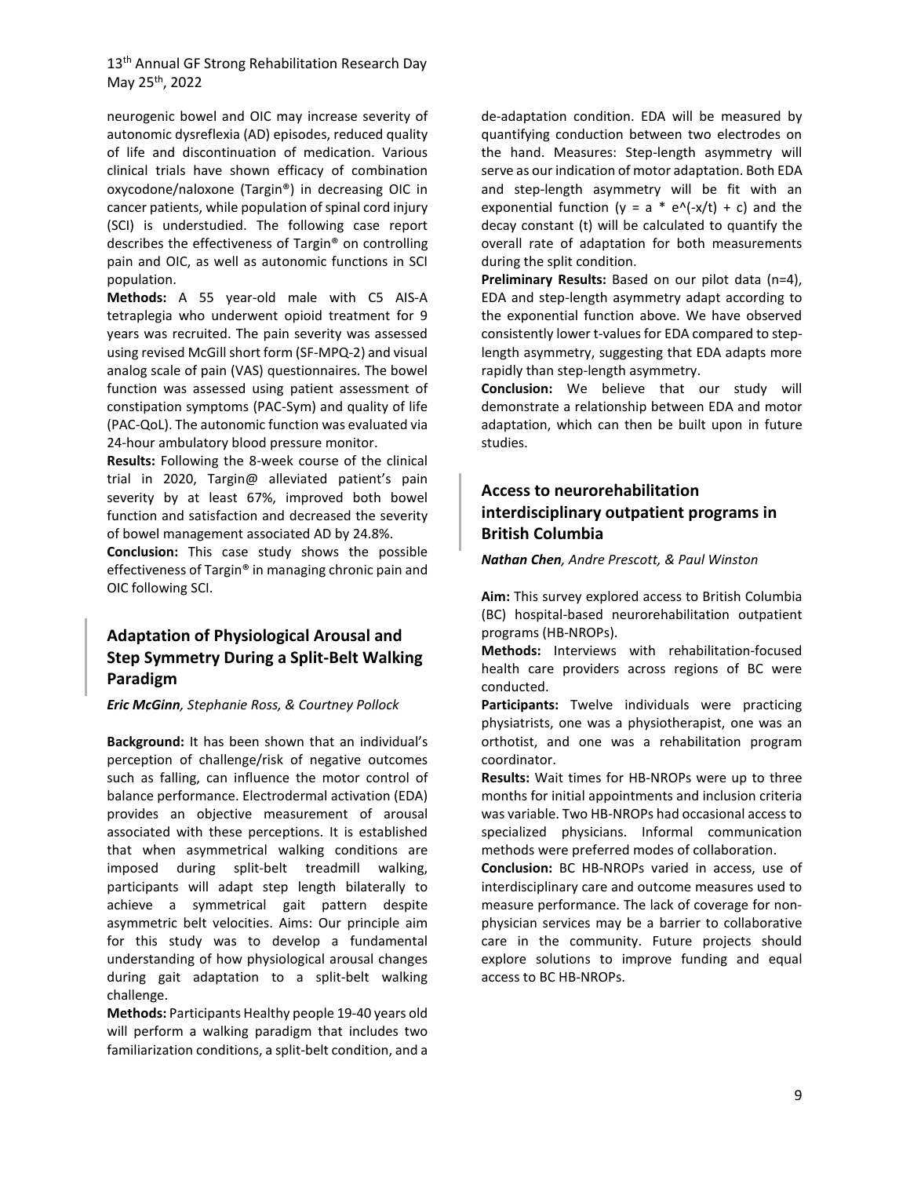neurogenic bowel and OIC may increase severity of autonomic dysreflexia (AD) episodes, reduced quality of life and discontinuation of medication. Various clinical trials have shown efficacy of combination oxycodone/naloxone (Targin®) in decreasing OIC in cancer patients, while population of spinal cord injury (SCI) is understudied. The following case report describes the effectiveness of Targin® on controlling pain and OIC, as well as autonomic functions in SCI population.

**Methods:** A 55 year-old male with C5 AIS-A tetraplegia who underwent opioid treatment for 9 years was recruited. The pain severity was assessed using revised McGill short form (SF-MPQ-2) and visual analog scale of pain (VAS) questionnaires. The bowel function was assessed using patient assessment of constipation symptoms (PAC-Sym) and quality of life (PAC-QoL). The autonomic function was evaluated via 24-hour ambulatory blood pressure monitor.

**Results:** Following the 8-week course of the clinical trial in 2020, Targin@ alleviated patient's pain severity by at least 67%, improved both bowel function and satisfaction and decreased the severity of bowel management associated AD by 24.8%.

**Conclusion:** This case study shows the possible effectiveness of Targin® in managing chronic pain and OIC following SCI.

## **Adaptation of Physiological Arousal and Step Symmetry During a Split-Belt Walking Paradigm**

*Eric McGinn, Stephanie Ross, & Courtney Pollock*

**Background:** It has been shown that an individual's perception of challenge/risk of negative outcomes such as falling, can influence the motor control of balance performance. Electrodermal activation (EDA) provides an objective measurement of arousal associated with these perceptions. It is established that when asymmetrical walking conditions are imposed during split-belt treadmill walking, participants will adapt step length bilaterally to achieve a symmetrical gait pattern despite asymmetric belt velocities. Aims: Our principle aim for this study was to develop a fundamental understanding of how physiological arousal changes during gait adaptation to a split-belt walking challenge.

**Methods:** Participants Healthy people 19-40 years old will perform a walking paradigm that includes two familiarization conditions, a split-belt condition, and a

de-adaptation condition. EDA will be measured by quantifying conduction between two electrodes on the hand. Measures: Step-length asymmetry will serve as our indication of motor adaptation. Both EDA and step-length asymmetry will be fit with an exponential function ( $y = a * e^{\Lambda}$ (-x/t) + c) and the decay constant (t) will be calculated to quantify the overall rate of adaptation for both measurements during the split condition.

**Preliminary Results:** Based on our pilot data (n=4), EDA and step-length asymmetry adapt according to the exponential function above. We have observed consistently lower t-values for EDA compared to steplength asymmetry, suggesting that EDA adapts more rapidly than step-length asymmetry.

**Conclusion:** We believe that our study will demonstrate a relationship between EDA and motor adaptation, which can then be built upon in future studies.

# **Access to neurorehabilitation interdisciplinary outpatient programs in British Columbia**

*Nathan Chen, Andre Prescott, & Paul Winston*

**Aim:** This survey explored access to British Columbia (BC) hospital-based neurorehabilitation outpatient programs (HB-NROPs).

**Methods:** Interviews with rehabilitation-focused health care providers across regions of BC were conducted.

**Participants:** Twelve individuals were practicing physiatrists, one was a physiotherapist, one was an orthotist, and one was a rehabilitation program coordinator.

**Results:** Wait times for HB-NROPs were up to three months for initial appointments and inclusion criteria was variable. Two HB-NROPs had occasional access to specialized physicians. Informal communication methods were preferred modes of collaboration.

**Conclusion:** BC HB-NROPs varied in access, use of interdisciplinary care and outcome measures used to measure performance. The lack of coverage for nonphysician services may be a barrier to collaborative care in the community. Future projects should explore solutions to improve funding and equal access to BC HB-NROPs.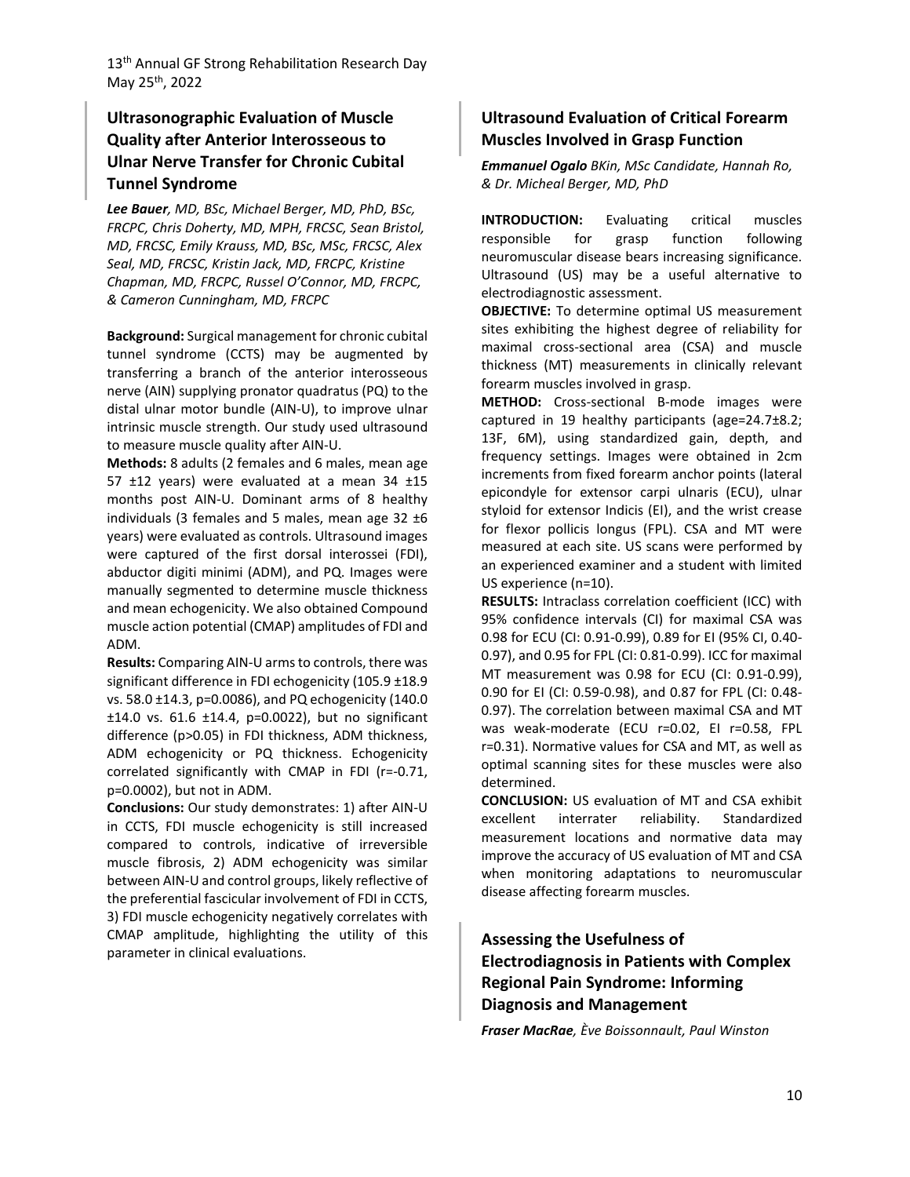# **Ultrasonographic Evaluation of Muscle Quality after Anterior Interosseous to Ulnar Nerve Transfer for Chronic Cubital Tunnel Syndrome**

*Lee Bauer, MD, BSc, Michael Berger, MD, PhD, BSc, FRCPC, Chris Doherty, MD, MPH, FRCSC, Sean Bristol, MD, FRCSC, Emily Krauss, MD, BSc, MSc, FRCSC, Alex Seal, MD, FRCSC, Kristin Jack, MD, FRCPC, Kristine Chapman, MD, FRCPC, Russel O'Connor, MD, FRCPC, & Cameron Cunningham, MD, FRCPC*

**Background:** Surgical management for chronic cubital tunnel syndrome (CCTS) may be augmented by transferring a branch of the anterior interosseous nerve (AIN) supplying pronator quadratus (PQ) to the distal ulnar motor bundle (AIN-U), to improve ulnar intrinsic muscle strength. Our study used ultrasound to measure muscle quality after AIN-U.

**Methods:** 8 adults (2 females and 6 males, mean age 57 ±12 years) were evaluated at a mean 34 ±15 months post AIN-U. Dominant arms of 8 healthy individuals (3 females and 5 males, mean age  $32 \pm 6$ years) were evaluated as controls. Ultrasound images were captured of the first dorsal interossei (FDI), abductor digiti minimi (ADM), and PQ. Images were manually segmented to determine muscle thickness and mean echogenicity. We also obtained Compound muscle action potential (CMAP) amplitudes of FDI and ADM.

**Results:** Comparing AIN-U arms to controls, there was significant difference in FDI echogenicity (105.9 ±18.9 vs. 58.0 ±14.3, p=0.0086), and PQ echogenicity (140.0 ±14.0 vs. 61.6 ±14.4, p=0.0022), but no significant difference (p>0.05) in FDI thickness, ADM thickness, ADM echogenicity or PQ thickness. Echogenicity correlated significantly with CMAP in FDI (r=-0.71, p=0.0002), but not in ADM.

**Conclusions:** Our study demonstrates: 1) after AIN-U in CCTS, FDI muscle echogenicity is still increased compared to controls, indicative of irreversible muscle fibrosis, 2) ADM echogenicity was similar between AIN-U and control groups, likely reflective of the preferential fascicular involvement of FDI in CCTS, 3) FDI muscle echogenicity negatively correlates with CMAP amplitude, highlighting the utility of this parameter in clinical evaluations.

## **Ultrasound Evaluation of Critical Forearm Muscles Involved in Grasp Function**

*Emmanuel Ogalo BKin, MSc Candidate, Hannah Ro, & Dr. Micheal Berger, MD, PhD*

**INTRODUCTION:** Evaluating critical muscles responsible for grasp function following neuromuscular disease bears increasing significance. Ultrasound (US) may be a useful alternative to electrodiagnostic assessment.

**OBJECTIVE:** To determine optimal US measurement sites exhibiting the highest degree of reliability for maximal cross-sectional area (CSA) and muscle thickness (MT) measurements in clinically relevant forearm muscles involved in grasp.

**METHOD:** Cross-sectional B-mode images were captured in 19 healthy participants (age=24.7±8.2; 13F, 6M), using standardized gain, depth, and frequency settings. Images were obtained in 2cm increments from fixed forearm anchor points (lateral epicondyle for extensor carpi ulnaris (ECU), ulnar styloid for extensor Indicis (EI), and the wrist crease for flexor pollicis longus (FPL). CSA and MT were measured at each site. US scans were performed by an experienced examiner and a student with limited US experience (n=10).

**RESULTS:** Intraclass correlation coefficient (ICC) with 95% confidence intervals (CI) for maximal CSA was 0.98 for ECU (CI: 0.91-0.99), 0.89 for EI (95% CI, 0.40- 0.97), and 0.95 for FPL (CI: 0.81-0.99). ICC for maximal MT measurement was 0.98 for ECU (CI: 0.91-0.99), 0.90 for EI (CI: 0.59-0.98), and 0.87 for FPL (CI: 0.48- 0.97). The correlation between maximal CSA and MT was weak-moderate (ECU r=0.02, EI r=0.58, FPL r=0.31). Normative values for CSA and MT, as well as optimal scanning sites for these muscles were also determined.

**CONCLUSION:** US evaluation of MT and CSA exhibit excellent interrater reliability. Standardized measurement locations and normative data may improve the accuracy of US evaluation of MT and CSA when monitoring adaptations to neuromuscular disease affecting forearm muscles.

# **Assessing the Usefulness of Electrodiagnosis in Patients with Complex Regional Pain Syndrome: Informing Diagnosis and Management**

*Fraser MacRae, Ève Boissonnault, Paul Winston*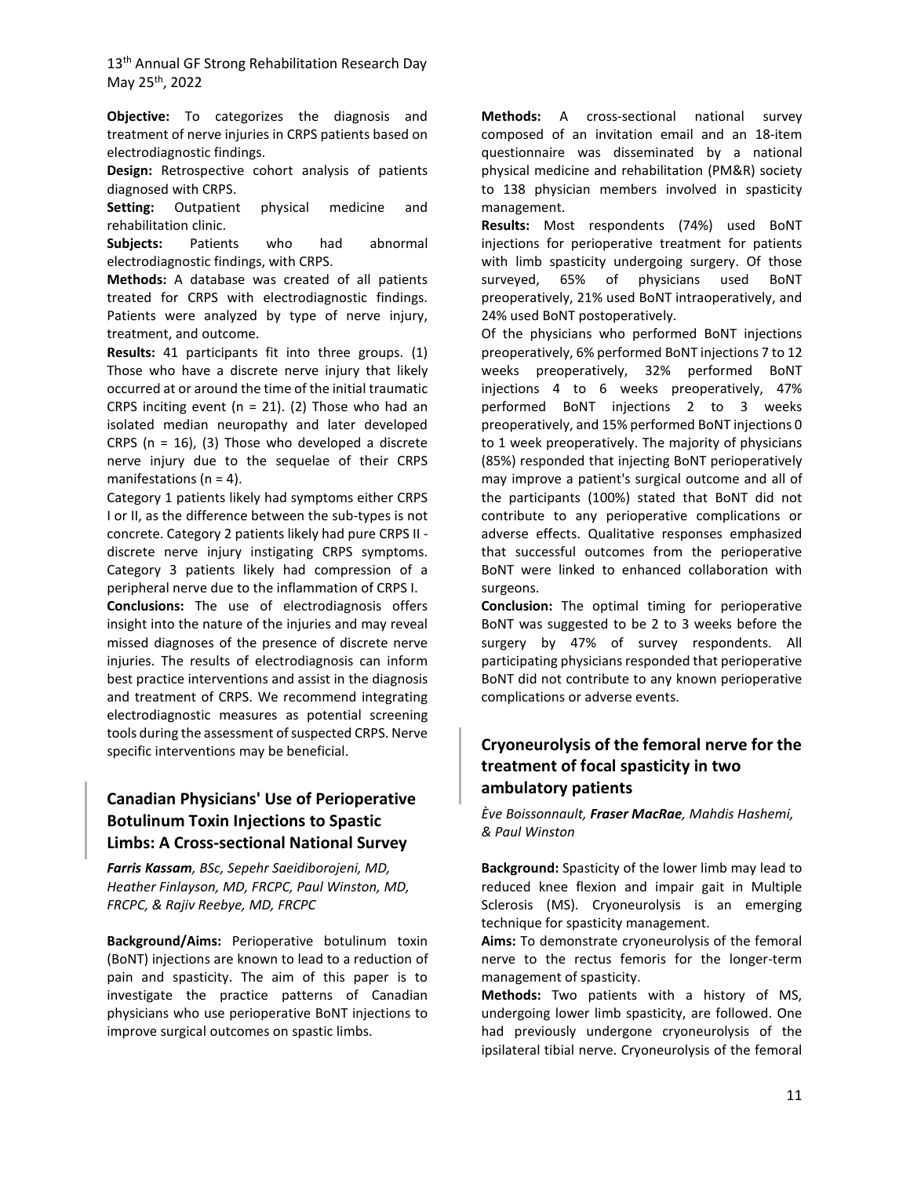**Objective:** To categorizes the diagnosis and treatment of nerve injuries in CRPS patients based on electrodiagnostic findings.

**Design:** Retrospective cohort analysis of patients diagnosed with CRPS.

**Setting:** Outpatient physical medicine and rehabilitation clinic.

**Subjects:** Patients who had abnormal electrodiagnostic findings, with CRPS.

**Methods:** A database was created of all patients treated for CRPS with electrodiagnostic findings. Patients were analyzed by type of nerve injury, treatment, and outcome.

**Results:** 41 participants fit into three groups. (1) Those who have a discrete nerve injury that likely occurred at or around the time of the initial traumatic CRPS inciting event ( $n = 21$ ). (2) Those who had an isolated median neuropathy and later developed CRPS ( $n = 16$ ), (3) Those who developed a discrete nerve injury due to the sequelae of their CRPS manifestations ( $n = 4$ ).

Category 1 patients likely had symptoms either CRPS I or II, as the difference between the sub-types is not concrete. Category 2 patients likely had pure CRPS II discrete nerve injury instigating CRPS symptoms. Category 3 patients likely had compression of a peripheral nerve due to the inflammation of CRPS I.

**Conclusions:** The use of electrodiagnosis offers insight into the nature of the injuries and may reveal missed diagnoses of the presence of discrete nerve injuries. The results of electrodiagnosis can inform best practice interventions and assist in the diagnosis and treatment of CRPS. We recommend integrating electrodiagnostic measures as potential screening tools during the assessment of suspected CRPS. Nerve specific interventions may be beneficial.

## **Canadian Physicians' Use of Perioperative Botulinum Toxin Injections to Spastic Limbs: A Cross-sectional National Survey**

*Farris Kassam, BSc, Sepehr Saeidiborojeni, MD, Heather Finlayson, MD, FRCPC, Paul Winston, MD, FRCPC, & Rajiv Reebye, MD, FRCPC*

**Background/Aims:** Perioperative botulinum toxin (BoNT) injections are known to lead to a reduction of pain and spasticity. The aim of this paper is to investigate the practice patterns of Canadian physicians who use perioperative BoNT injections to improve surgical outcomes on spastic limbs.

**Methods:** A cross-sectional national survey composed of an invitation email and an 18-item questionnaire was disseminated by a national physical medicine and rehabilitation (PM&R) society to 138 physician members involved in spasticity management.

**Results:** Most respondents (74%) used BoNT injections for perioperative treatment for patients with limb spasticity undergoing surgery. Of those surveyed, 65% of physicians used BoNT preoperatively, 21% used BoNT intraoperatively, and 24% used BoNT postoperatively.

Of the physicians who performed BoNT injections preoperatively, 6% performed BoNT injections 7 to 12 weeks preoperatively, 32% performed BoNT injections 4 to 6 weeks preoperatively, 47% performed BoNT injections 2 to 3 weeks preoperatively, and 15% performed BoNT injections 0 to 1 week preoperatively. The majority of physicians (85%) responded that injecting BoNT perioperatively may improve a patient's surgical outcome and all of the participants (100%) stated that BoNT did not contribute to any perioperative complications or adverse effects. Qualitative responses emphasized that successful outcomes from the perioperative BoNT were linked to enhanced collaboration with surgeons.

**Conclusion:** The optimal timing for perioperative BoNT was suggested to be 2 to 3 weeks before the surgery by 47% of survey respondents. All participating physicians responded that perioperative BoNT did not contribute to any known perioperative complications or adverse events.

# **Cryoneurolysis of the femoral nerve for the treatment of focal spasticity in two ambulatory patients**

*Ève Boissonnault, Fraser MacRae, Mahdis Hashemi, & Paul Winston*

**Background:** Spasticity of the lower limb may lead to reduced knee flexion and impair gait in Multiple Sclerosis (MS). Cryoneurolysis is an emerging technique for spasticity management.

**Aims:** To demonstrate cryoneurolysis of the femoral nerve to the rectus femoris for the longer-term management of spasticity.

**Methods:** Two patients with a history of MS, undergoing lower limb spasticity, are followed. One had previously undergone cryoneurolysis of the ipsilateral tibial nerve. Cryoneurolysis of the femoral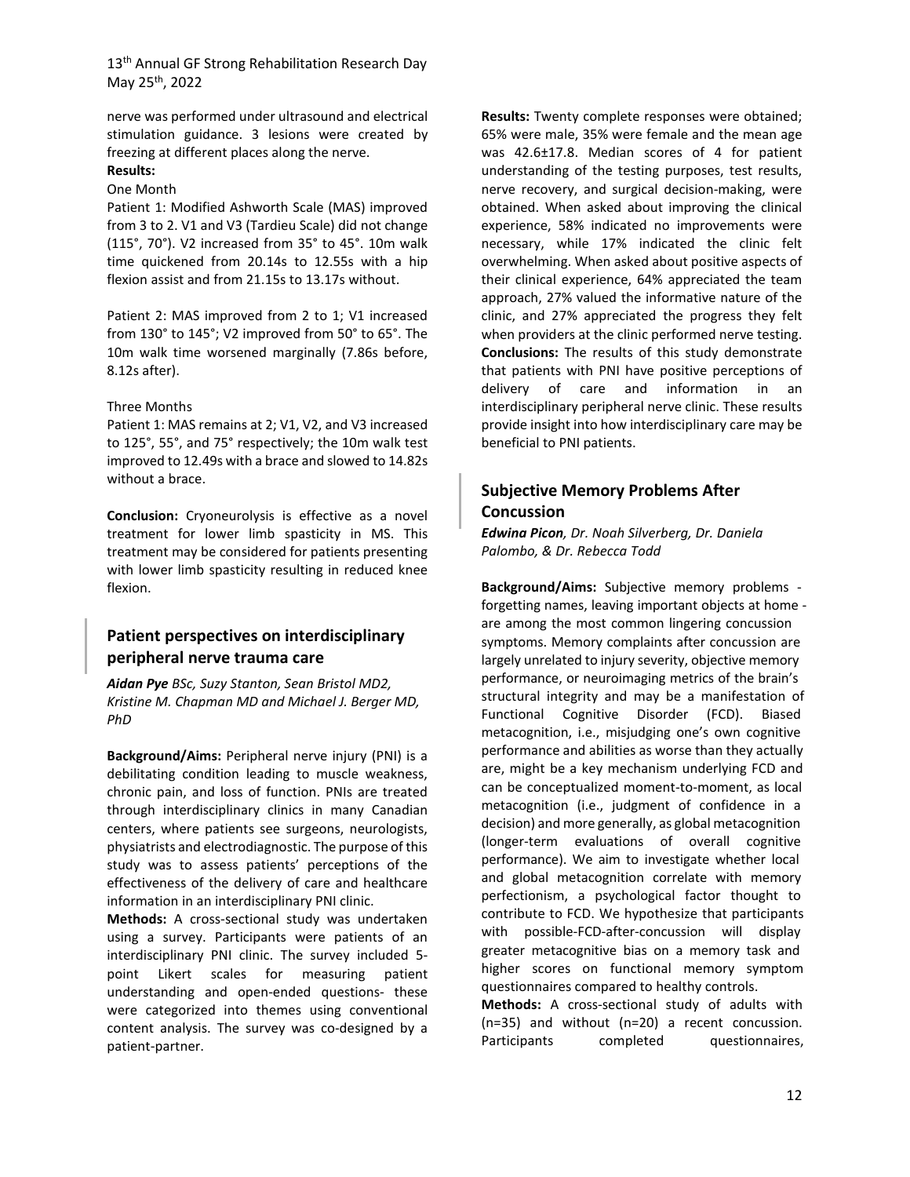nerve was performed under ultrasound and electrical stimulation guidance. 3 lesions were created by freezing at different places along the nerve.

# **Results:**

#### One Month

Patient 1: Modified Ashworth Scale (MAS) improved from 3 to 2. V1 and V3 (Tardieu Scale) did not change (115°, 70°). V2 increased from 35° to 45°. 10m walk time quickened from 20.14s to 12.55s with a hip flexion assist and from 21.15s to 13.17s without.

Patient 2: MAS improved from 2 to 1; V1 increased from 130° to 145°; V2 improved from 50° to 65°. The 10m walk time worsened marginally (7.86s before, 8.12s after).

#### Three Months

Patient 1: MAS remains at 2; V1, V2, and V3 increased to 125°, 55°, and 75° respectively; the 10m walk test improved to 12.49s with a brace and slowed to 14.82s without a brace.

**Conclusion:** Cryoneurolysis is effective as a novel treatment for lower limb spasticity in MS. This treatment may be considered for patients presenting with lower limb spasticity resulting in reduced knee flexion.

### **Patient perspectives on interdisciplinary peripheral nerve trauma care**

*Aidan Pye BSc, Suzy Stanton, Sean Bristol MD2, Kristine M. Chapman MD and Michael J. Berger MD, PhD*

**Background/Aims:** Peripheral nerve injury (PNI) is a debilitating condition leading to muscle weakness, chronic pain, and loss of function. PNIs are treated through interdisciplinary clinics in many Canadian centers, where patients see surgeons, neurologists, physiatrists and electrodiagnostic. The purpose of this study was to assess patients' perceptions of the effectiveness of the delivery of care and healthcare information in an interdisciplinary PNI clinic.

**Methods:** A cross-sectional study was undertaken using a survey. Participants were patients of an interdisciplinary PNI clinic. The survey included 5 point Likert scales for measuring patient understanding and open-ended questions- these were categorized into themes using conventional content analysis. The survey was co-designed by a patient-partner.

**Results:** Twenty complete responses were obtained; 65% were male, 35% were female and the mean age was 42.6±17.8. Median scores of 4 for patient understanding of the testing purposes, test results, nerve recovery, and surgical decision-making, were obtained. When asked about improving the clinical experience, 58% indicated no improvements were necessary, while 17% indicated the clinic felt overwhelming. When asked about positive aspects of their clinical experience, 64% appreciated the team approach, 27% valued the informative nature of the clinic, and 27% appreciated the progress they felt when providers at the clinic performed nerve testing. **Conclusions:** The results of this study demonstrate that patients with PNI have positive perceptions of delivery of care and information in an interdisciplinary peripheral nerve clinic. These results provide insight into how interdisciplinary care may be beneficial to PNI patients.

### **Subjective Memory Problems After Concussion**

*Edwina Picon, Dr. Noah Silverberg, Dr. Daniela Palombo, & Dr. Rebecca Todd* 

**Background/Aims:** Subjective memory problems forgetting names, leaving important objects at home are among the most common lingering concussion symptoms. Memory complaints after concussion are largely unrelated to injury severity, objective memory performance, or neuroimaging metrics of the brain's structural integrity and may be a manifestation of Functional Cognitive Disorder (FCD). Biased metacognition, i.e., misjudging one's own cognitive performance and abilities as worse than they actually are, might be a key mechanism underlying FCD and can be conceptualized moment-to-moment, as local metacognition (i.e., judgment of confidence in a decision) and more generally, as global metacognition (longer-term evaluations of overall cognitive performance). We aim to investigate whether local and global metacognition correlate with memory perfectionism, a psychological factor thought to contribute to FCD. We hypothesize that participants with possible-FCD-after-concussion will display greater metacognitive bias on a memory task and higher scores on functional memory symptom questionnaires compared to healthy controls.

**Methods:** A cross-sectional study of adults with (n=35) and without (n=20) a recent concussion. Participants completed questionnaires,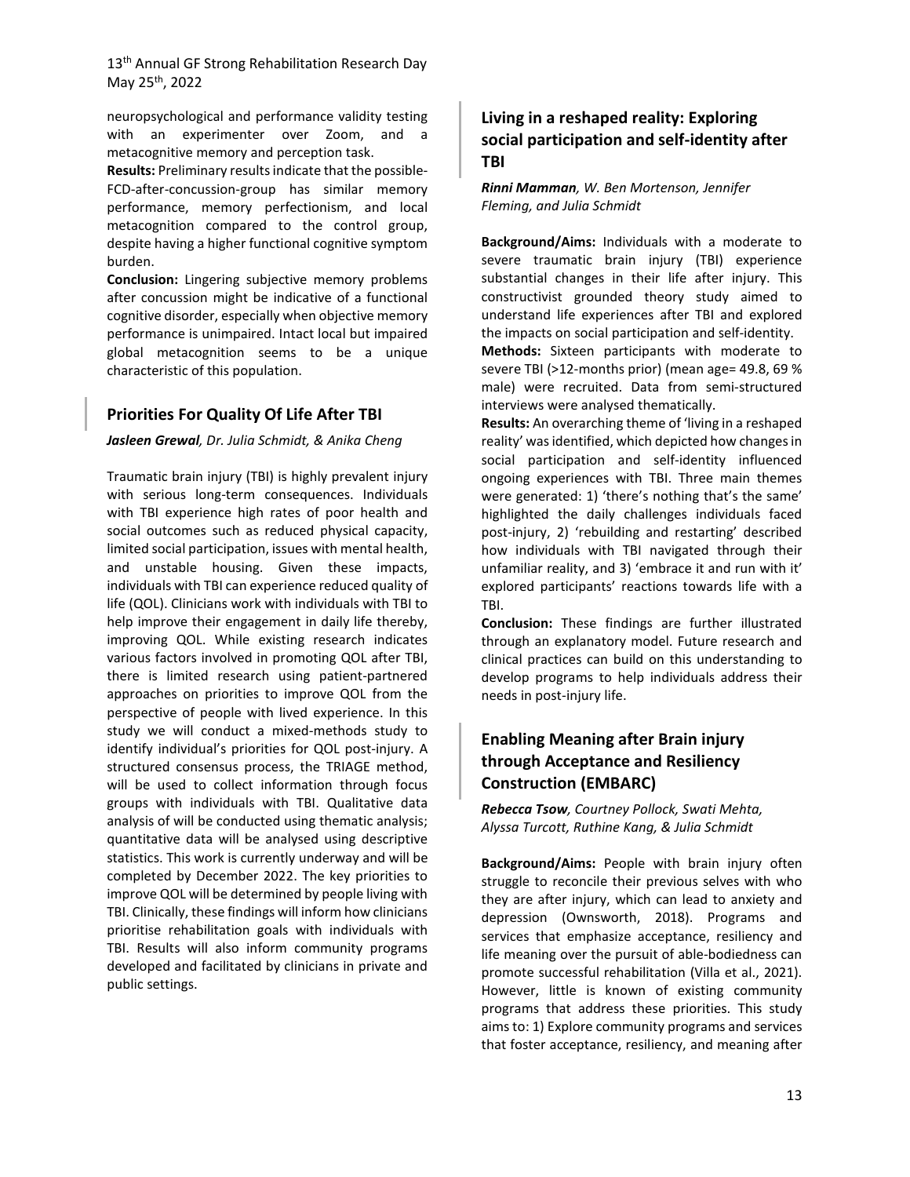neuropsychological and performance validity testing with an experimenter over Zoom, and a metacognitive memory and perception task.

**Results:** Preliminary results indicate that the possible-FCD-after-concussion-group has similar memory performance, memory perfectionism, and local metacognition compared to the control group, despite having a higher functional cognitive symptom burden.

**Conclusion:** Lingering subjective memory problems after concussion might be indicative of a functional cognitive disorder, especially when objective memory performance is unimpaired. Intact local but impaired global metacognition seems to be a unique characteristic of this population.

#### **Priorities For Quality Of Life After TBI**

#### *Jasleen Grewal, Dr. Julia Schmidt, & Anika Cheng*

Traumatic brain injury (TBI) is highly prevalent injury with serious long-term consequences. Individuals with TBI experience high rates of poor health and social outcomes such as reduced physical capacity, limited social participation, issues with mental health, and unstable housing. Given these impacts, individuals with TBI can experience reduced quality of life (QOL). Clinicians work with individuals with TBI to help improve their engagement in daily life thereby, improving QOL. While existing research indicates various factors involved in promoting QOL after TBI, there is limited research using patient-partnered approaches on priorities to improve QOL from the perspective of people with lived experience. In this study we will conduct a mixed-methods study to identify individual's priorities for QOL post-injury. A structured consensus process, the TRIAGE method, will be used to collect information through focus groups with individuals with TBI. Qualitative data analysis of will be conducted using thematic analysis; quantitative data will be analysed using descriptive statistics. This work is currently underway and will be completed by December 2022. The key priorities to improve QOL will be determined by people living with TBI. Clinically, these findings will inform how clinicians prioritise rehabilitation goals with individuals with TBI. Results will also inform community programs developed and facilitated by clinicians in private and public settings.

## **Living in a reshaped reality: Exploring social participation and self-identity after TBI**

#### *Rinni Mamman, W. Ben Mortenson, Jennifer Fleming, and Julia Schmidt*

**Background/Aims:** Individuals with a moderate to severe traumatic brain injury (TBI) experience substantial changes in their life after injury. This constructivist grounded theory study aimed to understand life experiences after TBI and explored the impacts on social participation and self-identity.

**Methods:** Sixteen participants with moderate to severe TBI (>12-months prior) (mean age= 49.8, 69 % male) were recruited. Data from semi-structured interviews were analysed thematically.

**Results:** An overarching theme of 'living in a reshaped reality' was identified, which depicted how changes in social participation and self-identity influenced ongoing experiences with TBI. Three main themes were generated: 1) 'there's nothing that's the same' highlighted the daily challenges individuals faced post-injury, 2) 'rebuilding and restarting' described how individuals with TBI navigated through their unfamiliar reality, and 3) 'embrace it and run with it' explored participants' reactions towards life with a TBI.

**Conclusion:** These findings are further illustrated through an explanatory model. Future research and clinical practices can build on this understanding to develop programs to help individuals address their needs in post-injury life.

# **Enabling Meaning after Brain injury through Acceptance and Resiliency Construction (EMBARC)**

*Rebecca Tsow, Courtney Pollock, Swati Mehta, Alyssa Turcott, Ruthine Kang, & Julia Schmidt*

**Background/Aims:** People with brain injury often struggle to reconcile their previous selves with who they are after injury, which can lead to anxiety and depression (Ownsworth, 2018). Programs and services that emphasize acceptance, resiliency and life meaning over the pursuit of able-bodiedness can promote successful rehabilitation (Villa et al., 2021). However, little is known of existing community programs that address these priorities. This study aims to: 1) Explore community programs and services that foster acceptance, resiliency, and meaning after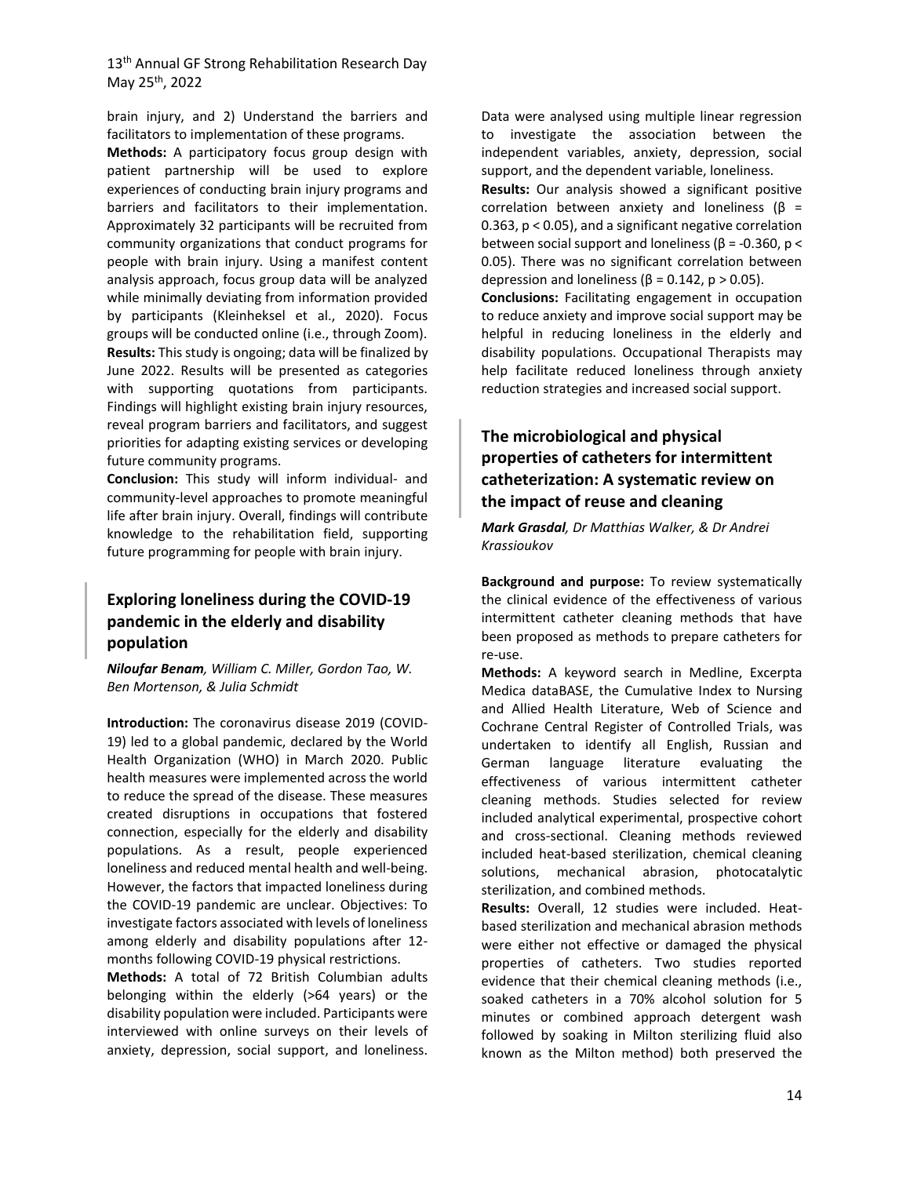brain injury, and 2) Understand the barriers and facilitators to implementation of these programs.

**Methods:** A participatory focus group design with patient partnership will be used to explore experiences of conducting brain injury programs and barriers and facilitators to their implementation. Approximately 32 participants will be recruited from community organizations that conduct programs for people with brain injury. Using a manifest content analysis approach, focus group data will be analyzed while minimally deviating from information provided by participants (Kleinheksel et al., 2020). Focus groups will be conducted online (i.e., through Zoom). **Results:** This study is ongoing; data will be finalized by June 2022. Results will be presented as categories with supporting quotations from participants. Findings will highlight existing brain injury resources, reveal program barriers and facilitators, and suggest priorities for adapting existing services or developing future community programs.

**Conclusion:** This study will inform individual- and community-level approaches to promote meaningful life after brain injury. Overall, findings will contribute knowledge to the rehabilitation field, supporting future programming for people with brain injury.

# **Exploring loneliness during the COVID-19 pandemic in the elderly and disability population**

*Niloufar Benam, William C. Miller, Gordon Tao, W. Ben Mortenson, & Julia Schmidt*

**Introduction:** The coronavirus disease 2019 (COVID-19) led to a global pandemic, declared by the World Health Organization (WHO) in March 2020. Public health measures were implemented across the world to reduce the spread of the disease. These measures created disruptions in occupations that fostered connection, especially for the elderly and disability populations. As a result, people experienced loneliness and reduced mental health and well-being. However, the factors that impacted loneliness during the COVID-19 pandemic are unclear. Objectives: To investigate factors associated with levels of loneliness among elderly and disability populations after 12 months following COVID-19 physical restrictions.

**Methods:** A total of 72 British Columbian adults belonging within the elderly (>64 years) or the disability population were included. Participants were interviewed with online surveys on their levels of anxiety, depression, social support, and loneliness.

Data were analysed using multiple linear regression to investigate the association between the independent variables, anxiety, depression, social support, and the dependent variable, loneliness. **Results:** Our analysis showed a significant positive correlation between anxiety and loneliness ( $β =$ 

0.363, p < 0.05), and a significant negative correlation between social support and loneliness ( $\beta$  = -0.360,  $p$  < 0.05). There was no significant correlation between depression and loneliness ( $\beta$  = 0.142, p > 0.05).

**Conclusions:** Facilitating engagement in occupation to reduce anxiety and improve social support may be helpful in reducing loneliness in the elderly and disability populations. Occupational Therapists may help facilitate reduced loneliness through anxiety reduction strategies and increased social support.

# **The microbiological and physical properties of catheters for intermittent catheterization: A systematic review on the impact of reuse and cleaning**

*Mark Grasdal, Dr Matthias Walker, & Dr Andrei Krassioukov*

**Background and purpose:** To review systematically the clinical evidence of the effectiveness of various intermittent catheter cleaning methods that have been proposed as methods to prepare catheters for re-use.

**Methods:** A keyword search in Medline, Excerpta Medica dataBASE, the Cumulative Index to Nursing and Allied Health Literature, Web of Science and Cochrane Central Register of Controlled Trials, was undertaken to identify all English, Russian and German language literature evaluating the effectiveness of various intermittent catheter cleaning methods. Studies selected for review included analytical experimental, prospective cohort and cross-sectional. Cleaning methods reviewed included heat-based sterilization, chemical cleaning solutions, mechanical abrasion, photocatalytic sterilization, and combined methods.

**Results:** Overall, 12 studies were included. Heatbased sterilization and mechanical abrasion methods were either not effective or damaged the physical properties of catheters. Two studies reported evidence that their chemical cleaning methods (i.e., soaked catheters in a 70% alcohol solution for 5 minutes or combined approach detergent wash followed by soaking in Milton sterilizing fluid also known as the Milton method) both preserved the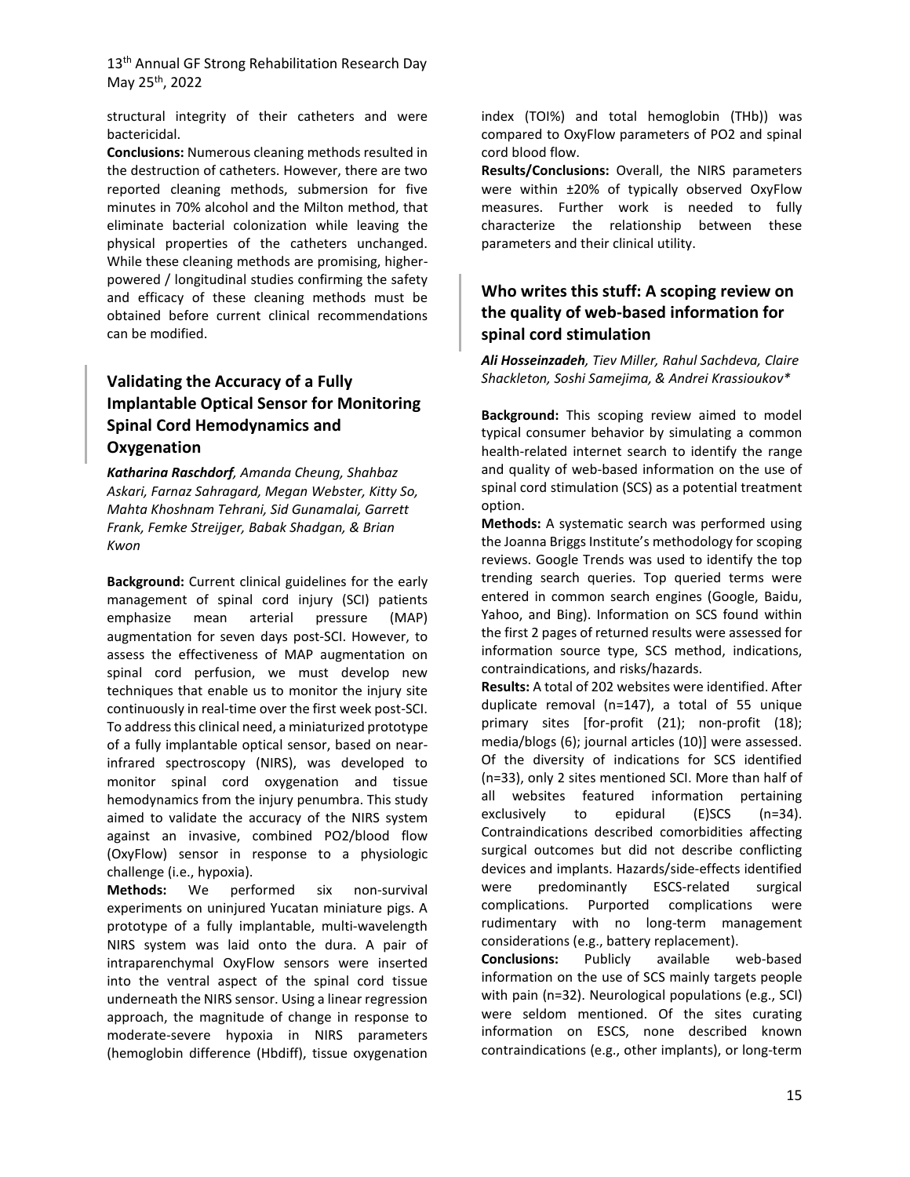structural integrity of their catheters and were bactericidal.

**Conclusions:** Numerous cleaning methods resulted in the destruction of catheters. However, there are two reported cleaning methods, submersion for five minutes in 70% alcohol and the Milton method, that eliminate bacterial colonization while leaving the physical properties of the catheters unchanged. While these cleaning methods are promising, higherpowered / longitudinal studies confirming the safety and efficacy of these cleaning methods must be obtained before current clinical recommendations can be modified.

# **Validating the Accuracy of a Fully Implantable Optical Sensor for Monitoring Spinal Cord Hemodynamics and Oxygenation**

*Katharina Raschdorf, Amanda Cheung, Shahbaz Askari, Farnaz Sahragard, Megan Webster, Kitty So, Mahta Khoshnam Tehrani, Sid Gunamalai, Garrett Frank, Femke Streijger, Babak Shadgan, & Brian Kwon*

**Background:** Current clinical guidelines for the early management of spinal cord injury (SCI) patients emphasize mean arterial pressure (MAP) augmentation for seven days post-SCI. However, to assess the effectiveness of MAP augmentation on spinal cord perfusion, we must develop new techniques that enable us to monitor the injury site continuously in real-time over the first week post-SCI. To address this clinical need, a miniaturized prototype of a fully implantable optical sensor, based on nearinfrared spectroscopy (NIRS), was developed to monitor spinal cord oxygenation and tissue hemodynamics from the injury penumbra. This study aimed to validate the accuracy of the NIRS system against an invasive, combined PO2/blood flow (OxyFlow) sensor in response to a physiologic challenge (i.e., hypoxia).

**Methods:** We performed six non-survival experiments on uninjured Yucatan miniature pigs. A prototype of a fully implantable, multi-wavelength NIRS system was laid onto the dura. A pair of intraparenchymal OxyFlow sensors were inserted into the ventral aspect of the spinal cord tissue underneath the NIRS sensor. Using a linear regression approach, the magnitude of change in response to moderate-severe hypoxia in NIRS parameters (hemoglobin difference (Hbdiff), tissue oxygenation

index (TOI%) and total hemoglobin (THb)) was compared to OxyFlow parameters of PO2 and spinal cord blood flow.

**Results/Conclusions:** Overall, the NIRS parameters were within ±20% of typically observed OxyFlow measures. Further work is needed to fully characterize the relationship between these parameters and their clinical utility.

# **Who writes this stuff: A scoping review on the quality of web-based information for spinal cord stimulation**

*Ali Hosseinzadeh, Tiev Miller, Rahul Sachdeva, Claire Shackleton, Soshi Samejima, & Andrei Krassioukov\**

**Background:** This scoping review aimed to model typical consumer behavior by simulating a common health-related internet search to identify the range and quality of web-based information on the use of spinal cord stimulation (SCS) as a potential treatment option.

**Methods:** A systematic search was performed using the Joanna Briggs Institute's methodology for scoping reviews. Google Trends was used to identify the top trending search queries. Top queried terms were entered in common search engines (Google, Baidu, Yahoo, and Bing). Information on SCS found within the first 2 pages of returned results were assessed for information source type, SCS method, indications, contraindications, and risks/hazards.

**Results:** A total of 202 websites were identified. After duplicate removal (n=147), a total of 55 unique primary sites [for-profit (21); non-profit (18); media/blogs (6); journal articles (10)] were assessed. Of the diversity of indications for SCS identified (n=33), only 2 sites mentioned SCI. More than half of all websites featured information pertaining exclusively to epidural (E)SCS (n=34). Contraindications described comorbidities affecting surgical outcomes but did not describe conflicting devices and implants. Hazards/side-effects identified were predominantly ESCS-related surgical complications. Purported complications were rudimentary with no long-term management considerations (e.g., battery replacement).

**Conclusions:** Publicly available web-based information on the use of SCS mainly targets people with pain (n=32). Neurological populations (e.g., SCI) were seldom mentioned. Of the sites curating information on ESCS, none described known contraindications (e.g., other implants), or long-term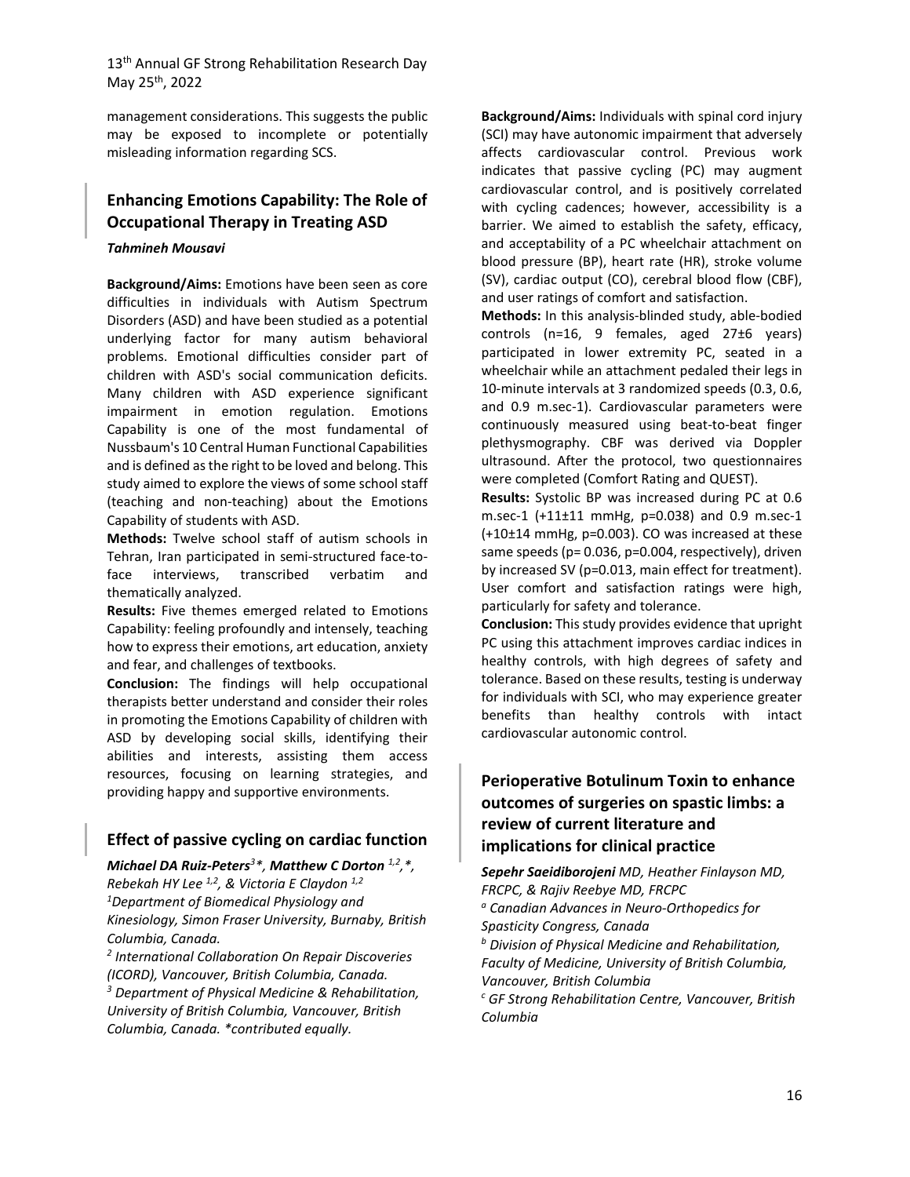management considerations. This suggests the public may be exposed to incomplete or potentially misleading information regarding SCS.

# **Enhancing Emotions Capability: The Role of Occupational Therapy in Treating ASD**

#### *Tahmineh Mousavi*

**Background/Aims:** Emotions have been seen as core difficulties in individuals with Autism Spectrum Disorders (ASD) and have been studied as a potential underlying factor for many autism behavioral problems. Emotional difficulties consider part of children with ASD's social communication deficits. Many children with ASD experience significant impairment in emotion regulation. Emotions Capability is one of the most fundamental of Nussbaum's 10 Central Human Functional Capabilities and is defined as the right to be loved and belong. This study aimed to explore the views of some school staff (teaching and non-teaching) about the Emotions Capability of students with ASD.

**Methods:** Twelve school staff of autism schools in Tehran, Iran participated in semi-structured face-toface interviews, transcribed verbatim and thematically analyzed.

**Results:** Five themes emerged related to Emotions Capability: feeling profoundly and intensely, teaching how to express their emotions, art education, anxiety and fear, and challenges of textbooks.

**Conclusion:** The findings will help occupational therapists better understand and consider their roles in promoting the Emotions Capability of children with ASD by developing social skills, identifying their abilities and interests, assisting them access resources, focusing on learning strategies, and providing happy and supportive environments.

# **Effect of passive cycling on cardiac function**

*Michael DA Ruiz-Peters<sup>3</sup> \*, Matthew C Dorton 1,2,\*, Rebekah HY Lee 1,2, & Victoria E Claydon 1,2 1 Department of Biomedical Physiology and Kinesiology, Simon Fraser University, Burnaby, British Columbia, Canada.*

*<sup>2</sup> International Collaboration On Repair Discoveries (ICORD), Vancouver, British Columbia, Canada.* 

*<sup>3</sup> Department of Physical Medicine & Rehabilitation, University of British Columbia, Vancouver, British Columbia, Canada. \*contributed equally.*

**Background/Aims:** Individuals with spinal cord injury (SCI) may have autonomic impairment that adversely affects cardiovascular control. Previous work indicates that passive cycling (PC) may augment cardiovascular control, and is positively correlated with cycling cadences; however, accessibility is a barrier. We aimed to establish the safety, efficacy, and acceptability of a PC wheelchair attachment on blood pressure (BP), heart rate (HR), stroke volume (SV), cardiac output (CO), cerebral blood flow (CBF), and user ratings of comfort and satisfaction.

**Methods:** In this analysis-blinded study, able-bodied controls (n=16, 9 females, aged 27±6 years) participated in lower extremity PC, seated in a wheelchair while an attachment pedaled their legs in 10-minute intervals at 3 randomized speeds (0.3, 0.6, and 0.9 m.sec-1). Cardiovascular parameters were continuously measured using beat-to-beat finger plethysmography. CBF was derived via Doppler ultrasound. After the protocol, two questionnaires were completed (Comfort Rating and QUEST).

**Results:** Systolic BP was increased during PC at 0.6 m.sec-1 (+11±11 mmHg, p=0.038) and 0.9 m.sec-1  $(+10±14$  mmHg, p=0.003). CO was increased at these same speeds (p= 0.036, p=0.004, respectively), driven by increased SV (p=0.013, main effect for treatment). User comfort and satisfaction ratings were high, particularly for safety and tolerance.

**Conclusion:** This study provides evidence that upright PC using this attachment improves cardiac indices in healthy controls, with high degrees of safety and tolerance. Based on these results, testing is underway for individuals with SCI, who may experience greater benefits than healthy controls with intact cardiovascular autonomic control.

# **Perioperative Botulinum Toxin to enhance outcomes of surgeries on spastic limbs: a review of current literature and implications for clinical practice**

*Sepehr Saeidiborojeni MD, Heather Finlayson MD, FRCPC, & Rajiv Reebye MD, FRCPC <sup>a</sup> Canadian Advances in Neuro-Orthopedics for Spasticity Congress, Canada <sup>b</sup> Division of Physical Medicine and Rehabilitation, Faculty of Medicine, University of British Columbia, Vancouver, British Columbia <sup>c</sup> GF Strong Rehabilitation Centre, Vancouver, British Columbia*